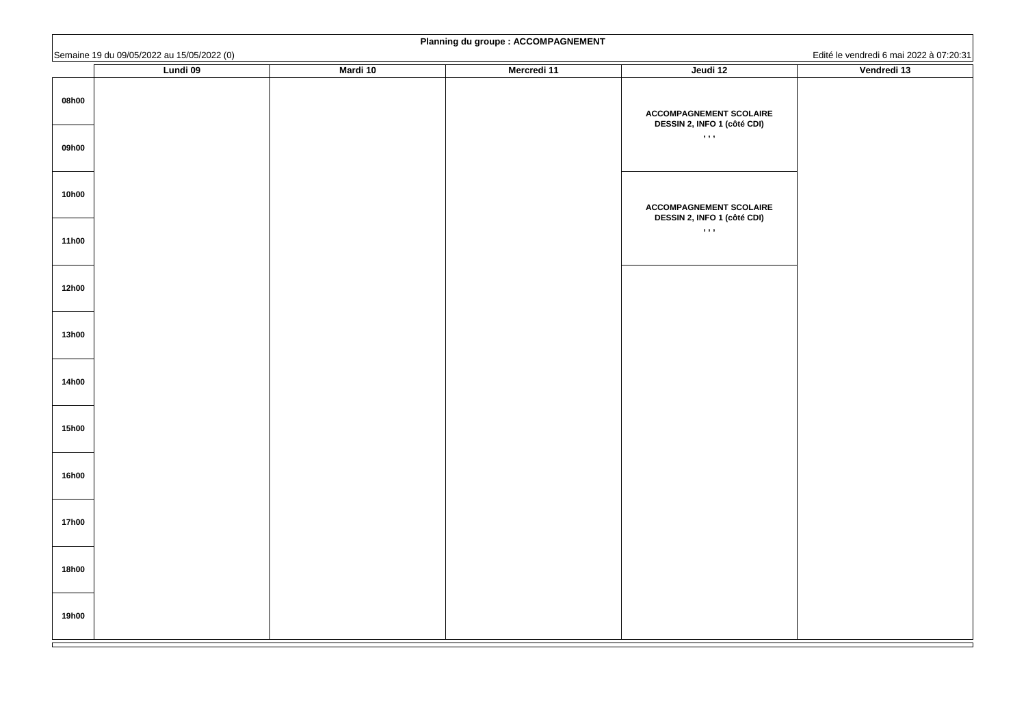|                              | Semaine 19 du 09/05/2022 au 15/05/2022 (0) |                 |                    |                                                                      | Edité le vendredi 6 mai 2022 à 07:20:31 |
|------------------------------|--------------------------------------------|-----------------|--------------------|----------------------------------------------------------------------|-----------------------------------------|
|                              | <b>Lundi 09</b>                            | <b>Mardi 10</b> | <b>Mercredi 11</b> | Jeudi 12                                                             | Vendredi 13                             |
| 08h00                        |                                            |                 |                    | <b>ACCOMPAGNEMENT SCOLAIRE</b><br><b>DESSIN 2, INFO 1 (côté CDI)</b> |                                         |
| 09h00                        |                                            |                 |                    | , , , ,                                                              |                                         |
| <b>10h00</b>                 |                                            |                 |                    | <b>ACCOMPAGNEMENT SCOLAIRE</b><br><b>DESSIN 2, INFO 1 (côté CDI)</b> |                                         |
| <b>11h00</b>                 |                                            |                 |                    | , , , ,                                                              |                                         |
| <b>12h00</b>                 |                                            |                 |                    |                                                                      |                                         |
| <b>13h00</b>                 |                                            |                 |                    |                                                                      |                                         |
| <b>14h00</b>                 |                                            |                 |                    |                                                                      |                                         |
| <b>15h00</b><br><b>16h00</b> |                                            |                 |                    |                                                                      |                                         |
| <b>17h00</b>                 |                                            |                 |                    |                                                                      |                                         |
| <b>18h00</b>                 |                                            |                 |                    |                                                                      |                                         |
| <b>19h00</b>                 |                                            |                 |                    |                                                                      |                                         |

| Lundi 09 | <b>Mardi 10</b> | <b>Mercredi 11</b> | Jeudi 12                                                                        | Luito to voltatour o final z<br>Vendredi 13 |
|----------|-----------------|--------------------|---------------------------------------------------------------------------------|---------------------------------------------|
|          |                 |                    | <b>ACCOMPAGNEMENT SCOLAIRE</b><br><b>DESSIN 2, INFO 1 (côté CDI)</b><br>, , , , |                                             |
|          |                 |                    | <b>ACCOMPAGNEMENT SCOLAIRE</b><br><b>DESSIN 2, INFO 1 (côté CDI)</b><br>, , , , |                                             |
|          |                 |                    |                                                                                 |                                             |
|          |                 |                    |                                                                                 |                                             |
|          |                 |                    |                                                                                 |                                             |
|          |                 |                    |                                                                                 |                                             |
|          |                 |                    |                                                                                 |                                             |

| Vendredi 13 |                                         |
|-------------|-----------------------------------------|
|             | Edité le vendredi 6 mai 2022 à 07:20:31 |
|             |                                         |

# **Planning du groupe : ACCOMPAGNEMENT**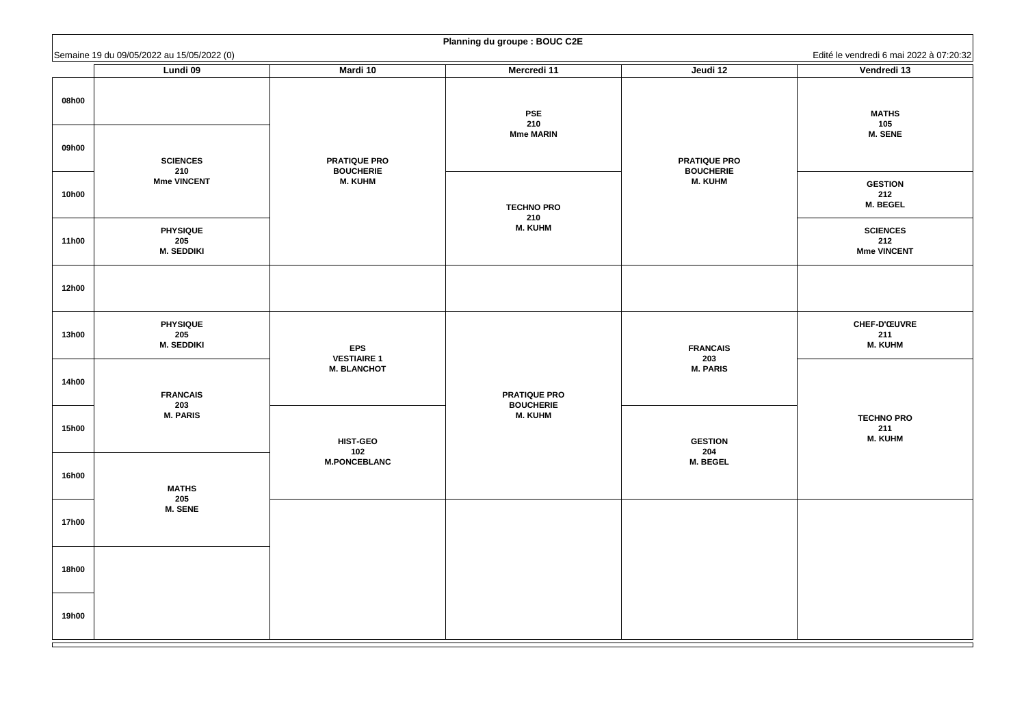Edité le vendredi 6 mai 2022 à 07:20:32 **MATHS 105 M. SENE GESTION 212 M. BEGEL SCIENCES 212 Mme VINCENT CHEF-D'ŒUVRE 211 M. KUHM TECHNO PRO 211 M. KUHM**

|              | Semaine 19 du 09/05/2022 au 15/05/2022 (0)  |                                    |                                         |                                    | Edité le vendredi 6 mai 2                   |
|--------------|---------------------------------------------|------------------------------------|-----------------------------------------|------------------------------------|---------------------------------------------|
|              | <b>Lundi 09</b>                             | <b>Mardi 10</b>                    | <b>Mercredi 11</b>                      | Jeudi 12                           | Vendredi 13                                 |
| 08h00        |                                             |                                    | <b>PSE</b><br>210                       |                                    | <b>MATHS</b><br>105                         |
| 09h00        | <b>SCIENCES</b>                             | <b>PRATIQUE PRO</b>                | <b>Mme MARIN</b>                        | <b>PRATIQUE PRO</b>                | <b>M. SENE</b>                              |
| <b>10h00</b> | 210<br><b>Mme VINCENT</b>                   | <b>BOUCHERIE</b><br><b>M. KUHM</b> | <b>TECHNO PRO</b><br>210                | <b>BOUCHERIE</b><br><b>M. KUHM</b> | <b>GESTION</b><br>212<br><b>M. BEGEL</b>    |
| <b>11h00</b> | <b>PHYSIQUE</b><br>205<br><b>M. SEDDIKI</b> |                                    | <b>M. KUHM</b>                          |                                    | <b>SCIENCES</b><br>212<br><b>Mme VINCEN</b> |
| <b>12h00</b> |                                             |                                    |                                         |                                    |                                             |
| <b>13h00</b> | <b>PHYSIQUE</b><br>205<br><b>M. SEDDIKI</b> | <b>EPS</b><br><b>VESTIAIRE 1</b>   |                                         | <b>FRANCAIS</b><br>203             | <b>CHEF-D'ŒUVR</b><br>211<br><b>M. KUHM</b> |
| <b>14h00</b> | <b>FRANCAIS</b>                             | <b>M. BLANCHOT</b>                 | <b>PRATIQUE PRO</b><br><b>BOUCHERIE</b> | <b>M. PARIS</b>                    |                                             |
| <b>15h00</b> | 203<br><b>M. PARIS</b>                      | <b>HIST-GEO</b><br>102             | <b>M. KUHM</b>                          | <b>GESTION</b><br>204              | <b>TECHNO PRO</b><br>211<br><b>M. KUHM</b>  |
| <b>16h00</b> | <b>MATHS</b>                                | <b>M.PONCEBLANC</b>                |                                         | <b>M. BEGEL</b>                    |                                             |
| <b>17h00</b> | 205<br><b>M. SENE</b>                       |                                    |                                         |                                    |                                             |
| <b>18h00</b> |                                             |                                    |                                         |                                    |                                             |
| <b>19h00</b> |                                             |                                    |                                         |                                    |                                             |

# **Planning du groupe : BOUC C2E**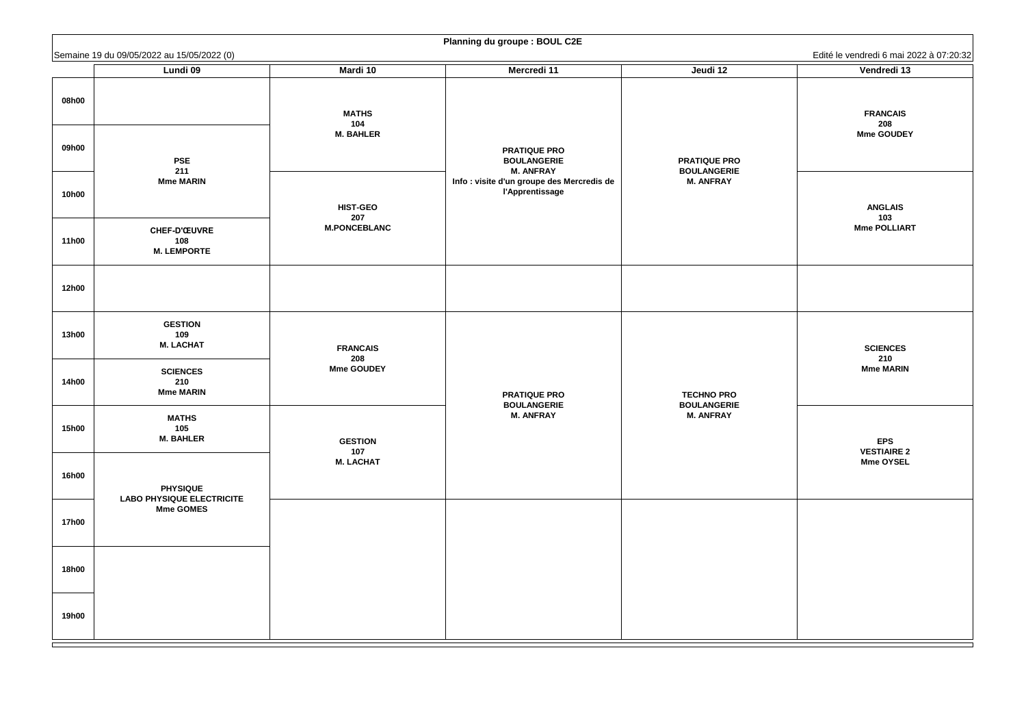**FRANCAIS 208 Mme GOUDEY**

**ANGLAIS 103 Mme POLLIART**

**EPS VESTIAIRE 2 Mme OYSEL**

|              | Semaine 19 du 09/05/2022 au 15/05/2022 (0)           |                                         |                                                                      |                                           | Edité le vendredi 6 mai 2                   |
|--------------|------------------------------------------------------|-----------------------------------------|----------------------------------------------------------------------|-------------------------------------------|---------------------------------------------|
|              | <b>Lundi 09</b>                                      | Mardi 10                                | <b>Mercredi 11</b>                                                   | Jeudi 12                                  | Vendredi 13                                 |
| 08h00        |                                                      | <b>MATHS</b><br>104<br><b>M. BAHLER</b> |                                                                      |                                           | <b>FRANCAIS</b><br>208<br><b>Mme GOUDE'</b> |
| 09h00        | <b>PSE</b><br>211                                    |                                         | <b>PRATIQUE PRO</b><br><b>BOULANGERIE</b><br><b>M. ANFRAY</b>        | <b>PRATIQUE PRO</b><br><b>BOULANGERIE</b> |                                             |
| <b>10h00</b> | <b>Mme MARIN</b>                                     | <b>HIST-GEO</b>                         | Info : visite d'un groupe des Mercredis de<br><b>l'Apprentissage</b> | <b>M. ANFRAY</b>                          | <b>ANGLAIS</b>                              |
| <b>11h00</b> | <b>CHEF-D'ŒUVRE</b><br>108<br><b>M. LEMPORTE</b>     | 207<br><b>M.PONCEBLANC</b>              |                                                                      |                                           | 103<br><b>Mme POLLIAR</b>                   |
| <b>12h00</b> |                                                      |                                         |                                                                      |                                           |                                             |
| <b>13h00</b> | <b>GESTION</b><br>109<br><b>M. LACHAT</b>            | <b>FRANCAIS</b>                         |                                                                      |                                           | <b>SCIENCES</b>                             |
| <b>14h00</b> | <b>SCIENCES</b><br>210<br><b>Mme MARIN</b>           | 208<br><b>Mme GOUDEY</b>                | <b>PRATIQUE PRO</b><br><b>BOULANGERIE</b>                            | <b>TECHNO PRO</b><br><b>BOULANGERIE</b>   | 210<br><b>Mme MARIN</b>                     |
| <b>15h00</b> | <b>MATHS</b><br>105<br><b>M. BAHLER</b>              | <b>GESTION</b><br>107                   | <b>M. ANFRAY</b>                                                     | <b>M. ANFRAY</b>                          | <b>EPS</b><br><b>VESTIAIRE 2</b>            |
| <b>16h00</b> | <b>PHYSIQUE</b>                                      | <b>M. LACHAT</b>                        |                                                                      |                                           | <b>Mme OYSEL</b>                            |
| <b>17h00</b> | <b>LABO PHYSIQUE ELECTRICITE</b><br><b>Mme GOMES</b> |                                         |                                                                      |                                           |                                             |
| <b>18h00</b> |                                                      |                                         |                                                                      |                                           |                                             |
| <b>19h00</b> |                                                      |                                         |                                                                      |                                           |                                             |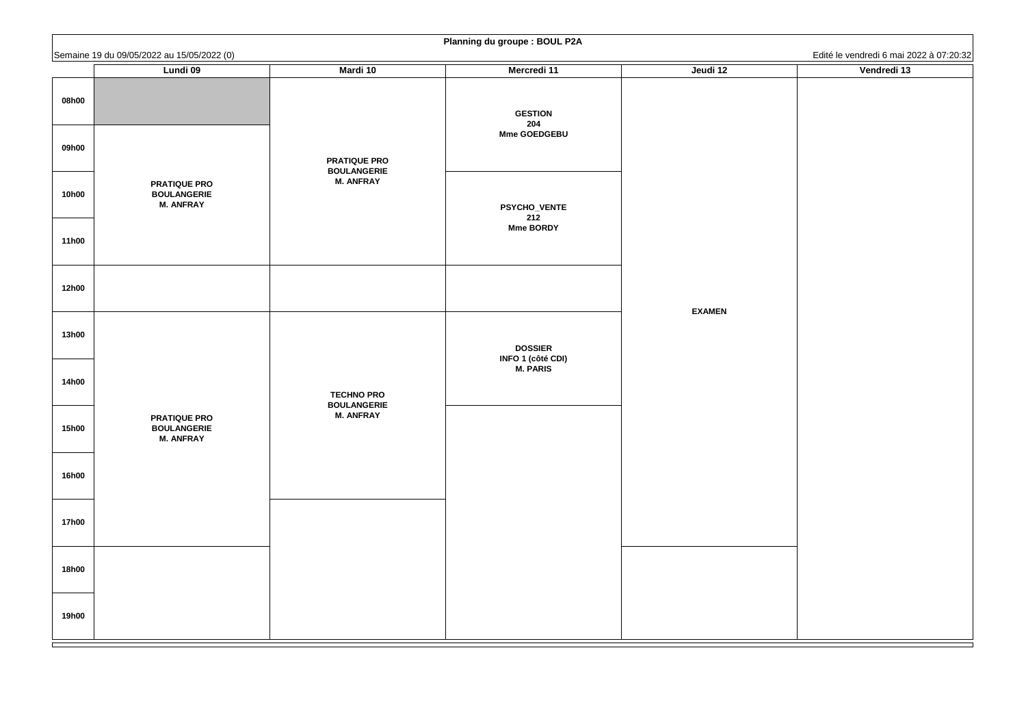|              | Semaine 19 du 09/05/2022 au 15/05/2022 (0)                    |                                                             | Training ad groupe . Doop . 2A                          |               | Edité le vendredi 6 mai 2022 à 07:20:32 |
|--------------|---------------------------------------------------------------|-------------------------------------------------------------|---------------------------------------------------------|---------------|-----------------------------------------|
|              | <b>Lundi 09</b>                                               | <b>Mardi 10</b>                                             | <b>Mercredi 11</b>                                      | Jeudi 12      | Vendredi 13                             |
| 08h00        |                                                               |                                                             | <b>GESTION</b><br>204<br><b>Mme GOEDGEBU</b>            |               |                                         |
| 09h00        |                                                               | <b>PRATIQUE PRO</b><br><b>BOULANGERIE</b>                   |                                                         |               |                                         |
| <b>10h00</b> | <b>PRATIQUE PRO</b><br><b>BOULANGERIE</b><br><b>M. ANFRAY</b> | <b>M. ANFRAY</b>                                            | <b>PSYCHO_VENTE</b><br>212<br><b>Mme BORDY</b>          |               |                                         |
| <b>11h00</b> |                                                               |                                                             |                                                         |               |                                         |
| <b>12h00</b> |                                                               |                                                             |                                                         | <b>EXAMEN</b> |                                         |
| <b>13h00</b> |                                                               |                                                             | <b>DOSSIER</b><br><b>INFO 1 (côté CDI)<br/>M. PARIS</b> |               |                                         |
| <b>14h00</b> |                                                               | <b>TECHNO PRO</b><br><b>BOULANGERIE</b><br><b>M. ANFRAY</b> |                                                         |               |                                         |
| <b>15h00</b> | <b>PRATIQUE PRO</b><br><b>BOULANGERIE</b><br><b>M. ANFRAY</b> |                                                             |                                                         |               |                                         |
| <b>16h00</b> |                                                               |                                                             |                                                         |               |                                         |
| <b>17h00</b> |                                                               |                                                             |                                                         |               |                                         |
| <b>18h00</b> |                                                               |                                                             |                                                         |               |                                         |
| <b>19h00</b> |                                                               |                                                             |                                                         |               |                                         |

### **Planning du groupe : BOUL P2A**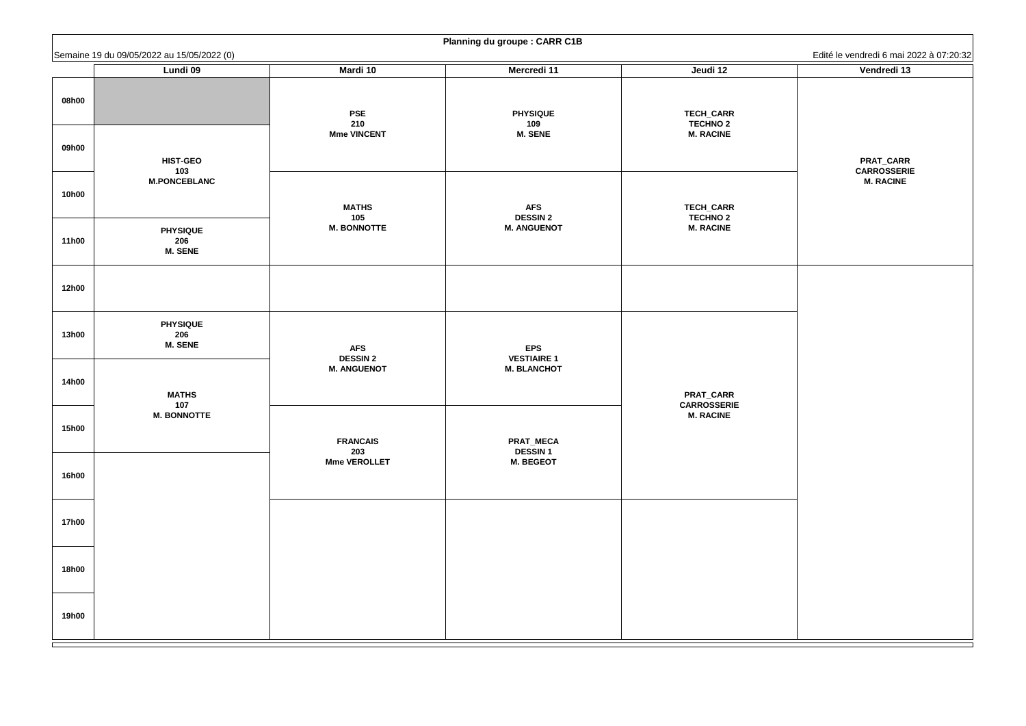**PRAT\_CARR CARROSSERIE M. RACINE**

|                | Semaine 19 du 09/05/2022 au 15/05/2022 (0)    |                                         |                                          |                                                         | Edité le vendredi 6 mai 2                                 |
|----------------|-----------------------------------------------|-----------------------------------------|------------------------------------------|---------------------------------------------------------|-----------------------------------------------------------|
|                | <b>Lundi 09</b>                               | <b>Mardi 10</b>                         | <b>Mercredi 11</b>                       | Jeudi 12                                                | Vendredi 13                                               |
| 08h00<br>09h00 |                                               | <b>PSE</b><br>210<br><b>Mme VINCENT</b> | <b>PHYSIQUE</b><br>109<br><b>M. SENE</b> | <b>TECH_CARR</b><br><b>TECHNO 2</b><br><b>M. RACINE</b> |                                                           |
| <b>10h00</b>   | <b>HIST-GEO</b><br>103<br><b>M.PONCEBLANC</b> | <b>MATHS</b><br>105                     | <b>AFS</b><br><b>DESSIN 2</b>            | <b>TECH_CARR</b><br><b>TECHNO 2</b>                     | <b>PRAT_CARR</b><br><b>CARROSSERI</b><br><b>M. RACINE</b> |
| <b>11h00</b>   | <b>PHYSIQUE</b><br>206<br><b>M. SENE</b>      | <b>M. BONNOTTE</b>                      | <b>M. ANGUENOT</b>                       | <b>M. RACINE</b>                                        |                                                           |
| <b>12h00</b>   |                                               |                                         |                                          |                                                         |                                                           |
| <b>13h00</b>   | <b>PHYSIQUE</b><br>206<br><b>M. SENE</b>      | <b>AFS</b><br><b>DESSIN 2</b>           | <b>EPS</b><br><b>VESTIAIRE 1</b>         |                                                         |                                                           |
| <b>14h00</b>   | <b>MATHS</b><br>107                           | <b>M. ANGUENOT</b>                      | <b>M. BLANCHOT</b>                       | <b>PRAT_CARR</b><br><b>CARROSSERIE</b>                  |                                                           |
| <b>15h00</b>   | <b>M. BONNOTTE</b>                            | <b>FRANCAIS</b><br>203                  | PRAT_MECA<br><b>DESSIN1</b>              | <b>M. RACINE</b>                                        |                                                           |
| <b>16h00</b>   |                                               | <b>Mme VEROLLET</b>                     | <b>M. BEGEOT</b>                         |                                                         |                                                           |
| <b>17h00</b>   |                                               |                                         |                                          |                                                         |                                                           |
| <b>18h00</b>   |                                               |                                         |                                          |                                                         |                                                           |
| <b>19h00</b>   |                                               |                                         |                                          |                                                         |                                                           |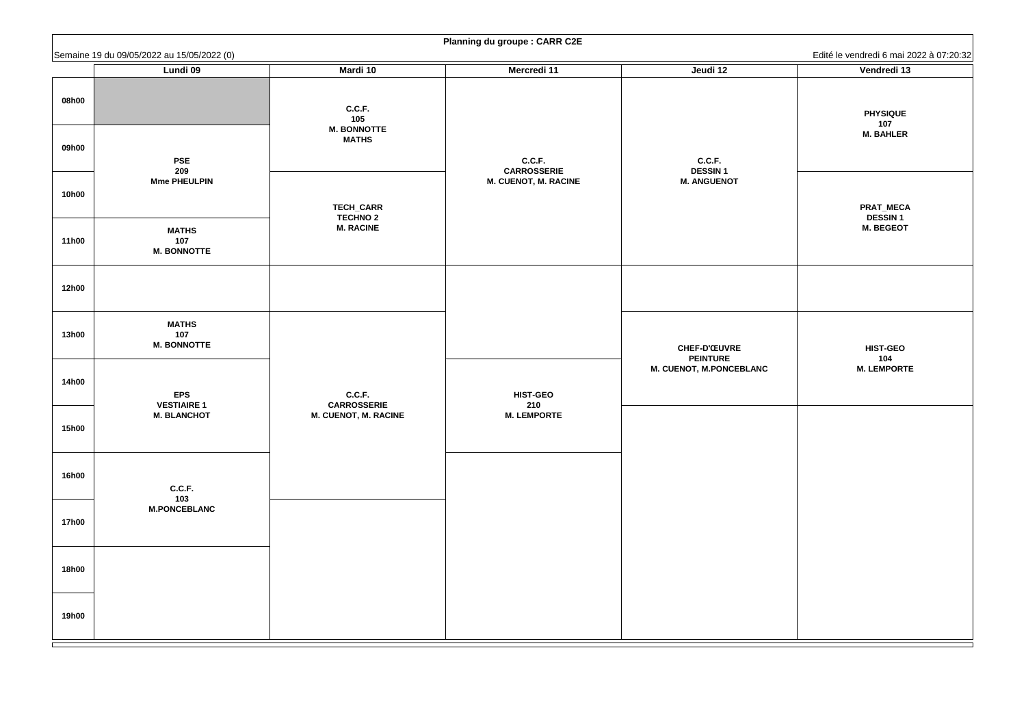| Edité le vendredi 6 mai 2022 à 07:20:32 |                                                 |  |  |  |
|-----------------------------------------|-------------------------------------------------|--|--|--|
|                                         | Vendredi 13                                     |  |  |  |
|                                         | <b>PHYSIQUE</b><br>107<br><b>M. BAHLER</b>      |  |  |  |
|                                         | PRAT_MECA<br><b>DESSIN1</b><br><b>M. BEGEOT</b> |  |  |  |
|                                         |                                                 |  |  |  |
|                                         | <b>HIST-GEO</b><br>104<br><b>M. LEMPORTE</b>    |  |  |  |
|                                         |                                                 |  |  |  |
|                                         |                                                 |  |  |  |
|                                         |                                                 |  |  |  |

|              | Semaine 19 du 09/05/2022 au 15/05/2022 (0) |                                     |                              |                                        | Edité le vendredi 6 mai 2022 à 07:20:32 |
|--------------|--------------------------------------------|-------------------------------------|------------------------------|----------------------------------------|-----------------------------------------|
|              | <b>Lundi 09</b>                            | <b>Mardi 10</b>                     | <b>Mercredi 11</b>           | Jeudi 12                               | Vendredi 13                             |
| 08h00        |                                            | C.C.F.<br>105                       |                              |                                        | <b>PHYSIQUE</b><br>107                  |
| 09h00        | <b>PSE</b><br>209                          | <b>M. BONNOTTE</b><br><b>MATHS</b>  | C.C.F.<br><b>CARROSSERIE</b> | C.C.F.<br><b>DESSIN1</b>               | <b>M. BAHLER</b>                        |
| <b>10h00</b> | <b>Mme PHEULPIN</b>                        | <b>TECH_CARR</b><br><b>TECHNO 2</b> | <b>M. CUENOT, M. RACINE</b>  | <b>M. ANGUENOT</b>                     | <b>PRAT_MECA</b><br><b>DESSIN1</b>      |
| <b>11h00</b> | <b>MATHS</b><br>107<br><b>M. BONNOTTE</b>  | <b>M. RACINE</b>                    |                              |                                        | <b>M. BEGEOT</b>                        |
| <b>12h00</b> |                                            |                                     |                              |                                        |                                         |
| <b>13h00</b> | <b>MATHS</b><br>107<br><b>M. BONNOTTE</b>  |                                     |                              | <b>CHEF-D'ŒUVRE</b><br><b>PEINTURE</b> | <b>HIST-GEO</b><br>104                  |
| <b>14h00</b> | <b>EPS</b><br><b>VESTIAIRE 1</b>           | C.C.F.<br><b>CARROSSERIE</b>        | <b>HIST-GEO</b><br>210       | <b>M. CUENOT, M.PONCEBLANC</b>         | <b>M. LEMPORTE</b>                      |
| <b>15h00</b> | <b>M. BLANCHOT</b>                         | <b>M. CUENOT, M. RACINE</b>         | <b>M. LEMPORTE</b>           |                                        |                                         |
| <b>16h00</b> | <b>C.C.F.</b><br>103                       |                                     |                              |                                        |                                         |
| <b>17h00</b> | <b>M.PONCEBLANC</b>                        |                                     |                              |                                        |                                         |
| <b>18h00</b> |                                            |                                     |                              |                                        |                                         |
| <b>19h00</b> |                                            |                                     |                              |                                        |                                         |

# **Planning du groupe : CARR C2E**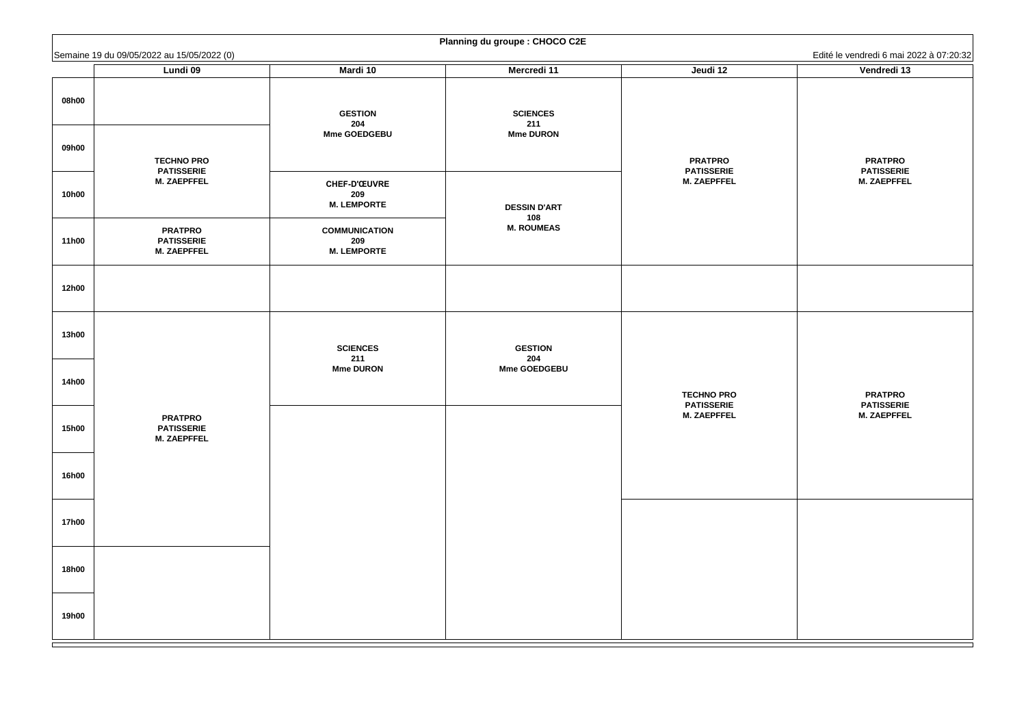**PRATPRO PATISSERIE M. ZAEPFFEL**

|                | Semaine 19 du 09/05/2022 au 15/05/2022 (0)                   |                                                   |                                            |                                                           | Edité le vendredi 6 mai 2                                 |
|----------------|--------------------------------------------------------------|---------------------------------------------------|--------------------------------------------|-----------------------------------------------------------|-----------------------------------------------------------|
|                | <b>Lundi 09</b>                                              | <b>Mardi 10</b>                                   | Mercredi 11                                | Jeudi 12                                                  | Vendredi 13                                               |
| 08h00<br>09h00 |                                                              | <b>GESTION</b><br>204<br><b>Mme GOEDGEBU</b>      | <b>SCIENCES</b><br>211<br><b>Mme DURON</b> |                                                           |                                                           |
| <b>10h00</b>   | <b>TECHNO PRO</b><br><b>PATISSERIE</b><br><b>M. ZAEPFFEL</b> | <b>CHEF-D'ŒUVRE</b><br>209<br><b>M. LEMPORTE</b>  | <b>DESSIN D'ART</b>                        | <b>PRATPRO</b><br><b>PATISSERIE</b><br><b>M. ZAEPFFEL</b> | <b>PRATPRO</b><br><b>PATISSERIE</b><br><b>M. ZAEPFFEL</b> |
| <b>11h00</b>   | <b>PRATPRO</b><br><b>PATISSERIE</b><br><b>M. ZAEPFFEL</b>    | <b>COMMUNICATION</b><br>209<br><b>M. LEMPORTE</b> | 108<br><b>M. ROUMEAS</b>                   |                                                           |                                                           |
| <b>12h00</b>   |                                                              |                                                   |                                            |                                                           |                                                           |
| <b>13h00</b>   |                                                              | <b>SCIENCES</b><br>211                            | <b>GESTION</b><br>204                      |                                                           |                                                           |
| <b>14h00</b>   |                                                              | <b>Mme DURON</b>                                  | <b>Mme GOEDGEBU</b>                        | <b>TECHNO PRO</b><br><b>PATISSERIE</b>                    | <b>PRATPRO</b><br><b>PATISSERIE</b>                       |
| <b>15h00</b>   | <b>PRATPRO</b><br><b>PATISSERIE</b><br><b>M. ZAEPFFEL</b>    |                                                   |                                            | <b>M. ZAEPFFEL</b>                                        | <b>M. ZAEPFFEL</b>                                        |
| <b>16h00</b>   |                                                              |                                                   |                                            |                                                           |                                                           |
| <b>17h00</b>   |                                                              |                                                   |                                            |                                                           |                                                           |
| <b>18h00</b>   |                                                              |                                                   |                                            |                                                           |                                                           |
| <b>19h00</b>   |                                                              |                                                   |                                            |                                                           |                                                           |

# **Planning du groupe : CHOCO C2E**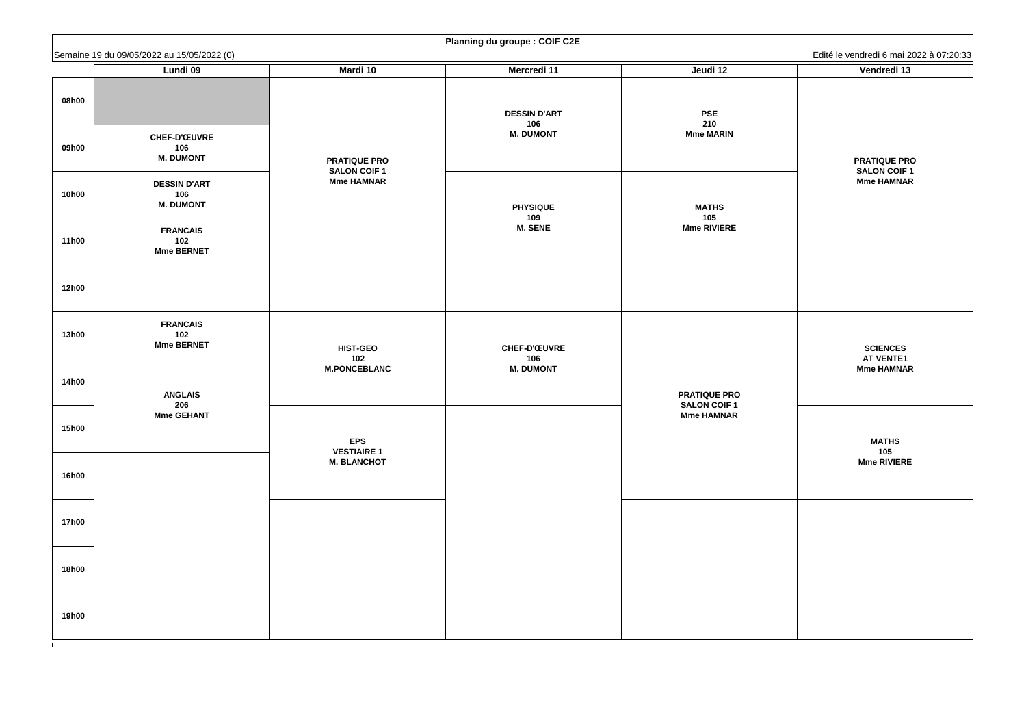**PRATIQUE PRO SALON COIF 1 Mme HAMNAR**

#### **SCIENCES AT VENTE1 Mme HAMNAR**

**MATHS 105 Mme RIVIERE**

|                | Semaine 19 du 09/05/2022 au 15/05/2022 (0)                                                                                  |                                          |                                                                                                                   |                                       | Edité le vendredi 6 mai 2              |
|----------------|-----------------------------------------------------------------------------------------------------------------------------|------------------------------------------|-------------------------------------------------------------------------------------------------------------------|---------------------------------------|----------------------------------------|
|                | <b>Lundi 09</b>                                                                                                             | <b>Mardi 10</b>                          | <b>Mercredi 11</b>                                                                                                | Jeudi 12                              | Vendredi 13                            |
| 08h00<br>09h00 | <b>CHEF-D'ŒUVRE</b><br>106<br><b>M. DUMONT</b>                                                                              | <b>PRATIQUE PRO</b>                      | <b>DESSIN D'ART</b><br>106<br><b>M. DUMONT</b>                                                                    | <b>PSE</b><br>210<br><b>Mme MARIN</b> | <b>PRATIQUE PR</b>                     |
| <b>10h00</b>   | <b>DESSIN D'ART</b><br>106<br><b>M. DUMONT</b>                                                                              | <b>SALON COIF 1</b><br><b>Mme HAMNAR</b> | <b>PHYSIQUE</b>                                                                                                   | <b>MATHS</b>                          | <b>SALON COIF</b><br><b>Mme HAMNAI</b> |
| <b>11h00</b>   | <b>FRANCAIS</b><br>102<br><b>Mme BERNET</b>                                                                                 |                                          | 109<br><b>M. SENE</b>                                                                                             | 105<br><b>Mme RIVIERE</b>             |                                        |
| <b>12h00</b>   |                                                                                                                             |                                          |                                                                                                                   |                                       |                                        |
| <b>13h00</b>   | <b>FRANCAIS</b><br>102<br><b>Mme BERNET</b>                                                                                 | <b>HIST-GEO</b><br>102                   | <b>CHEF-D'ŒUVRE</b><br>106<br><b>M. DUMONT</b><br><b>PRATIQUE PRO</b><br><b>SALON COIF 1</b><br><b>Mme HAMNAR</b> |                                       | <b>SCIENCES</b><br><b>AT VENTE1</b>    |
| <b>14h00</b>   | <b>M.PONCEBLANC</b><br><b>ANGLAIS</b><br>206<br><b>Mme GEHANT</b><br><b>EPS</b><br><b>VESTIAIRE 1</b><br><b>M. BLANCHOT</b> |                                          |                                                                                                                   |                                       | <b>Mme HAMNAI</b>                      |
| <b>15h00</b>   |                                                                                                                             |                                          |                                                                                                                   |                                       | <b>MATHS</b><br>105                    |
| <b>16h00</b>   |                                                                                                                             |                                          |                                                                                                                   |                                       | <b>Mme RIVIERE</b>                     |
| <b>17h00</b>   |                                                                                                                             |                                          |                                                                                                                   |                                       |                                        |
| <b>18h00</b>   |                                                                                                                             |                                          |                                                                                                                   |                                       |                                        |
| <b>19h00</b>   |                                                                                                                             |                                          |                                                                                                                   |                                       |                                        |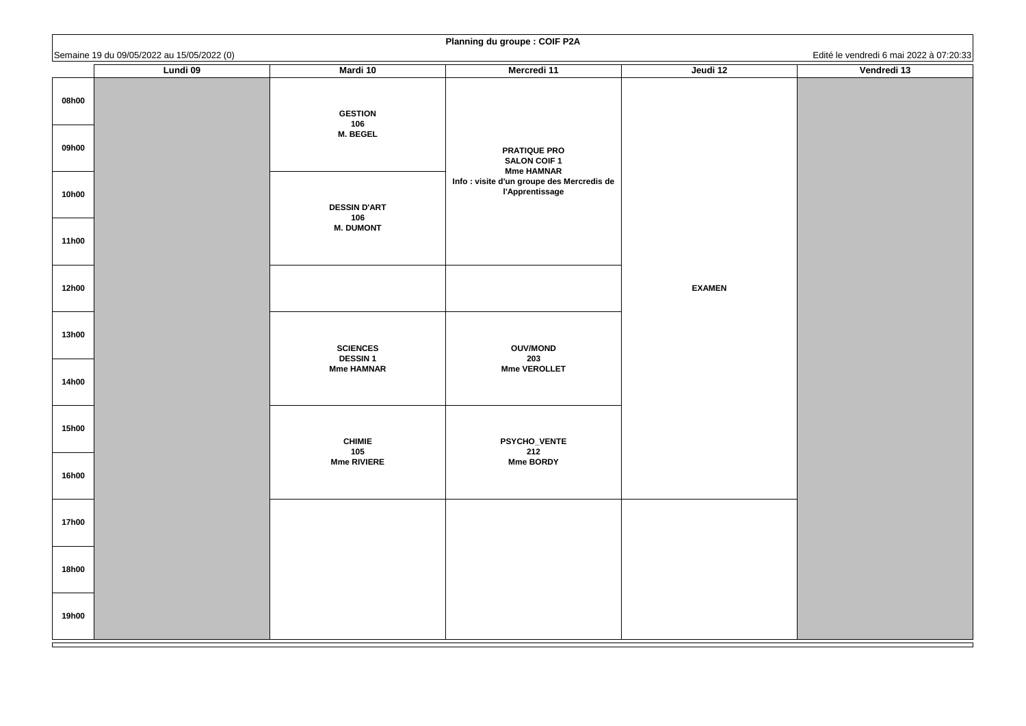|              | Semaine 19 du 09/05/2022 au 15/05/2022 (0) |                                   | <b>Training ad groupe: OOII</b> TEA                                  |               | Edité le vendredi 6 mai 2022 à 07:20:33 |
|--------------|--------------------------------------------|-----------------------------------|----------------------------------------------------------------------|---------------|-----------------------------------------|
|              | <b>Lundi 09</b>                            | <b>Mardi 10</b>                   | <b>Mercredi 11</b>                                                   | Jeudi 12      | Vendredi 13                             |
| 08h00        |                                            | <b>GESTION</b><br>106             |                                                                      |               |                                         |
| 09h00        |                                            | <b>M. BEGEL</b>                   | <b>PRATIQUE PRO</b><br><b>SALON COIF 1</b><br><b>Mme HAMNAR</b>      |               |                                         |
| <b>10h00</b> |                                            | <b>DESSIN D'ART</b><br>106        | Info : visite d'un groupe des Mercredis de<br><b>l'Apprentissage</b> |               |                                         |
| <b>11h00</b> |                                            | <b>M. DUMONT</b>                  |                                                                      |               |                                         |
| <b>12h00</b> |                                            |                                   |                                                                      | <b>EXAMEN</b> |                                         |
| <b>13h00</b> |                                            | <b>SCIENCES</b><br><b>DESSIN1</b> | <b>OUV/MOND</b><br>203                                               |               |                                         |
| <b>14h00</b> |                                            | <b>Mme HAMNAR</b>                 | <b>Mme VEROLLET</b>                                                  |               |                                         |
| <b>15h00</b> |                                            | <b>CHIMIE</b><br>105              | <b>PSYCHO_VENTE</b><br>212                                           |               |                                         |
| <b>16h00</b> |                                            | <b>Mme RIVIERE</b>                | <b>Mme BORDY</b>                                                     |               |                                         |
| <b>17h00</b> |                                            |                                   |                                                                      |               |                                         |
| <b>18h00</b> |                                            |                                   |                                                                      |               |                                         |
| <b>19h00</b> |                                            |                                   |                                                                      |               |                                         |

| Vendredi 13                             |  |
|-----------------------------------------|--|
| Edité le vendredi 6 mai 2022 à 07:20:33 |  |
|                                         |  |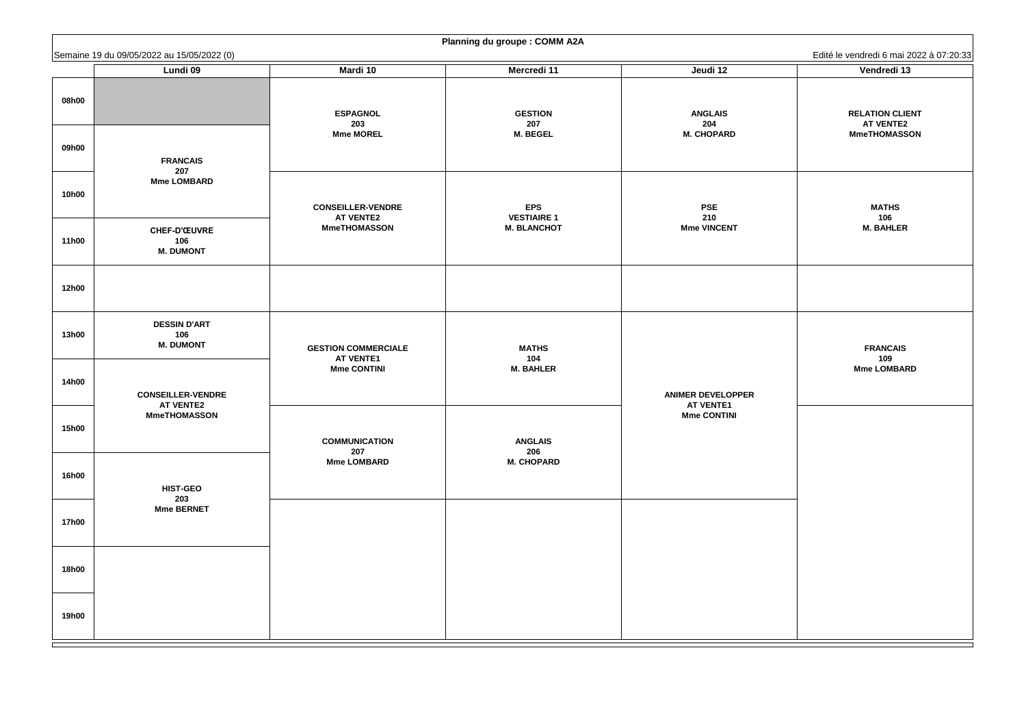**RELATION CLIENT AT VENTE2 MmeTHOMASSON**

**FRANCAIS 109 Mme LOMBARD**

|              | Semaine 19 du 09/05/2022 au 15/05/2022 (0)     |                                                |                                          |                                            | Edité le vendredi 6 mai 2                                     |
|--------------|------------------------------------------------|------------------------------------------------|------------------------------------------|--------------------------------------------|---------------------------------------------------------------|
|              | <b>Lundi 09</b>                                | Mardi 10                                       | <b>Mercredi 11</b>                       | Jeudi 12                                   | Vendredi 13                                                   |
| 08h00        |                                                | <b>ESPAGNOL</b><br>203<br><b>Mme MOREL</b>     | <b>GESTION</b><br>207<br><b>M. BEGEL</b> | <b>ANGLAIS</b><br>204<br><b>M. CHOPARD</b> | <b>RELATION CLIE</b><br><b>AT VENTE2</b><br><b>MmeTHOMASS</b> |
| 09h00        | <b>FRANCAIS</b><br>207                         |                                                |                                          |                                            |                                                               |
| <b>10h00</b> | <b>Mme LOMBARD</b>                             | <b>CONSEILLER-VENDRE</b><br><b>AT VENTE2</b>   | <b>EPS</b><br><b>VESTIAIRE 1</b>         | <b>PSE</b><br>210                          | <b>MATHS</b><br>106                                           |
| <b>11h00</b> | <b>CHEF-D'ŒUVRE</b><br>106<br><b>M. DUMONT</b> | <b>MmeTHOMASSON</b>                            | <b>M. BLANCHOT</b>                       | <b>Mme VINCENT</b>                         | <b>M. BAHLER</b>                                              |
| <b>12h00</b> |                                                |                                                |                                          |                                            |                                                               |
| <b>13h00</b> | <b>DESSIN D'ART</b><br>106<br><b>M. DUMONT</b> | <b>GESTION COMMERCIALE</b><br><b>AT VENTE1</b> | <b>MATHS</b><br>104                      |                                            | <b>FRANCAIS</b><br>109                                        |
| <b>14h00</b> | <b>CONSEILLER-VENDRE</b>                       | <b>Mme CONTINI</b>                             | <b>M. BAHLER</b>                         | <b>ANIMER DEVELOPPER</b>                   | <b>Mme LOMBAR</b>                                             |
| <b>15h00</b> | <b>AT VENTE2</b><br><b>MmeTHOMASSON</b>        | <b>COMMUNICATION</b><br>207                    | <b>ANGLAIS</b><br>206                    | <b>AT VENTE1</b><br><b>Mme CONTINI</b>     |                                                               |
| <b>16h00</b> | <b>HIST-GEO</b><br>203                         | <b>Mme LOMBARD</b>                             | <b>M. CHOPARD</b>                        |                                            |                                                               |
| <b>17h00</b> | <b>Mme BERNET</b>                              |                                                |                                          |                                            |                                                               |
| <b>18h00</b> |                                                |                                                |                                          |                                            |                                                               |
| <b>19h00</b> |                                                |                                                |                                          |                                            |                                                               |

|  |  | <b>Planning du groupe : COMM A2A</b> |  |  |
|--|--|--------------------------------------|--|--|
|--|--|--------------------------------------|--|--|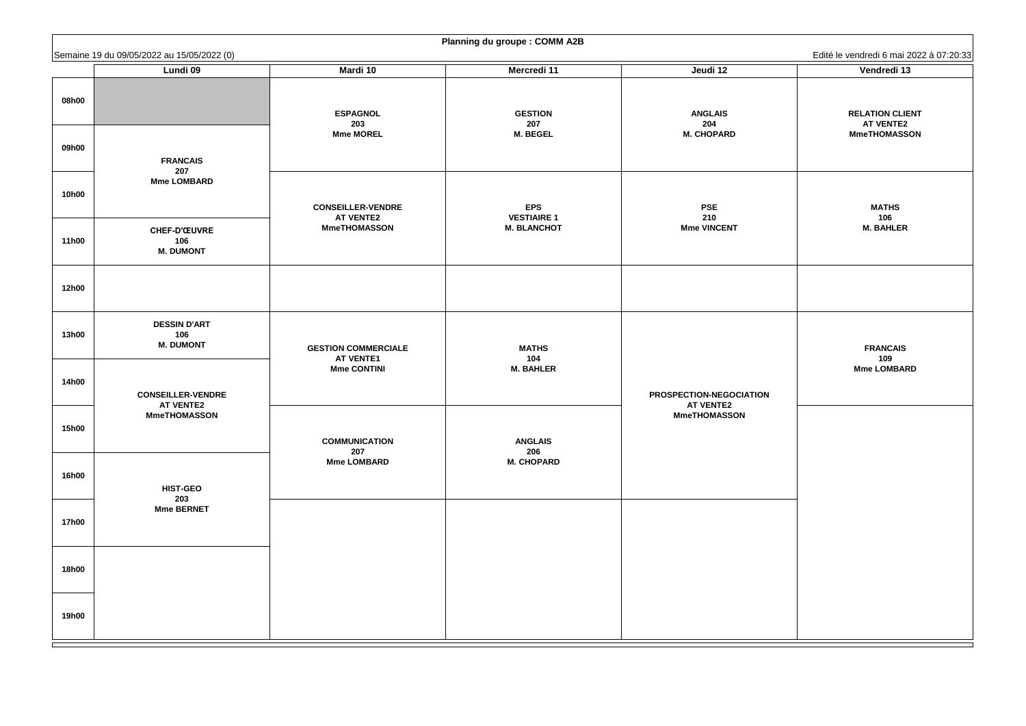**RELATION CLIENT AT VENTE2 MmeTHOMASSON**

**FRANCAIS 109 Mme LOMBARD**

|              | Semaine 19 du 09/05/2022 au 15/05/2022 (0)     |                                                |                                          |                                            | Edité le vendredi 6 mai 2                                     |
|--------------|------------------------------------------------|------------------------------------------------|------------------------------------------|--------------------------------------------|---------------------------------------------------------------|
|              | <b>Lundi 09</b>                                | Mardi 10                                       | <b>Mercredi 11</b>                       | Jeudi 12                                   | Vendredi 13                                                   |
| 08h00        |                                                | <b>ESPAGNOL</b><br>203<br><b>Mme MOREL</b>     | <b>GESTION</b><br>207<br><b>M. BEGEL</b> | <b>ANGLAIS</b><br>204<br><b>M. CHOPARD</b> | <b>RELATION CLIE</b><br><b>AT VENTE2</b><br><b>MmeTHOMASS</b> |
| 09h00        | <b>FRANCAIS</b><br>207                         |                                                |                                          |                                            |                                                               |
| <b>10h00</b> | <b>Mme LOMBARD</b>                             | <b>CONSEILLER-VENDRE</b><br><b>AT VENTE2</b>   | <b>EPS</b><br><b>VESTIAIRE 1</b>         | <b>PSE</b><br>210                          | <b>MATHS</b><br>106                                           |
| <b>11h00</b> | <b>CHEF-D'ŒUVRE</b><br>106<br><b>M. DUMONT</b> | <b>MmeTHOMASSON</b>                            | <b>M. BLANCHOT</b>                       | <b>Mme VINCENT</b>                         | <b>M. BAHLER</b>                                              |
| <b>12h00</b> |                                                |                                                |                                          |                                            |                                                               |
| <b>13h00</b> | <b>DESSIN D'ART</b><br>106<br><b>M. DUMONT</b> | <b>GESTION COMMERCIALE</b><br><b>AT VENTE1</b> | <b>MATHS</b><br>104                      |                                            | <b>FRANCAIS</b><br>109                                        |
| <b>14h00</b> | <b>CONSEILLER-VENDRE</b>                       | <b>Mme CONTINI</b>                             | <b>M. BAHLER</b>                         | <b>PROSPECTION-NEGOCIATION</b>             | <b>Mme LOMBAR</b>                                             |
| <b>15h00</b> | <b>AT VENTE2</b><br><b>MmeTHOMASSON</b>        | <b>COMMUNICATION</b><br>207                    | <b>ANGLAIS</b><br>206                    | <b>AT VENTE2</b><br><b>MmeTHOMASSON</b>    |                                                               |
| <b>16h00</b> | <b>HIST-GEO</b>                                | <b>Mme LOMBARD</b>                             | <b>M. CHOPARD</b>                        |                                            |                                                               |
| <b>17h00</b> | 203<br><b>Mme BERNET</b>                       |                                                |                                          |                                            |                                                               |
| <b>18h00</b> |                                                |                                                |                                          |                                            |                                                               |
| <b>19h00</b> |                                                |                                                |                                          |                                            |                                                               |

| <b>Planning du groupe : COMM A2B</b> |  |  |  |  |
|--------------------------------------|--|--|--|--|
|--------------------------------------|--|--|--|--|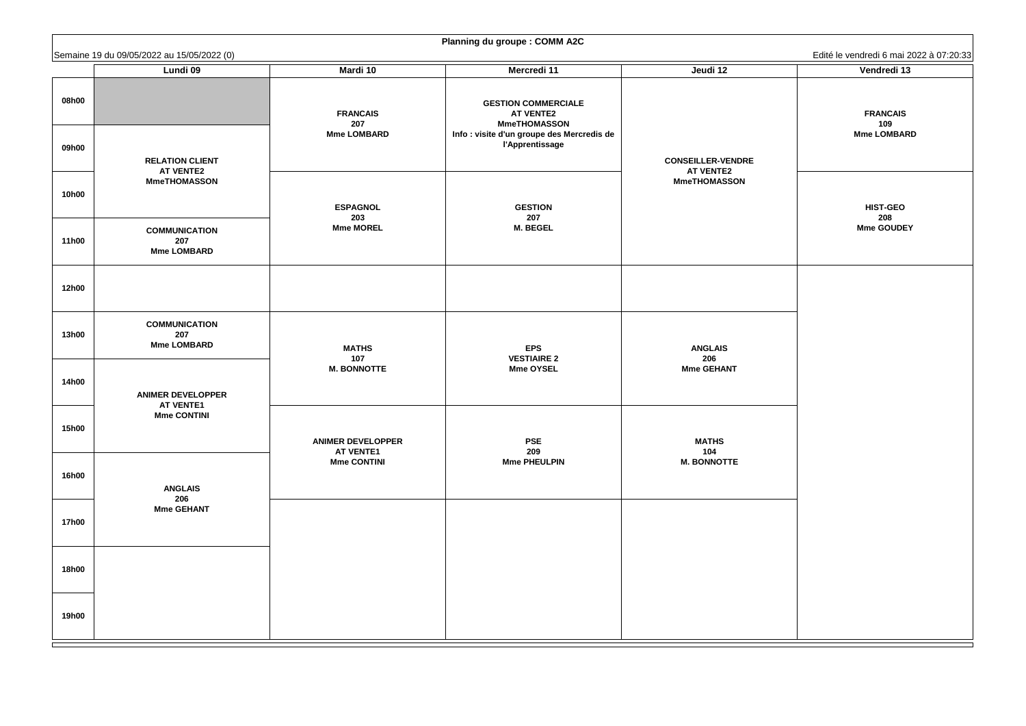**FRANCAIS 109 Mme LOMBARD**

**HIST-GEO 208 Mme GOUDEY**

|                | Semaine 19 du 09/05/2022 au 15/05/2022 (0)                        |                                              |                                                                                                                                               |                                                                     | Edité le vendredi 6 mai 2                   |
|----------------|-------------------------------------------------------------------|----------------------------------------------|-----------------------------------------------------------------------------------------------------------------------------------------------|---------------------------------------------------------------------|---------------------------------------------|
|                | <b>Lundi 09</b>                                                   | <b>Mardi 10</b>                              | <b>Mercredi 11</b>                                                                                                                            | Jeudi 12                                                            | Vendredi 13                                 |
| 08h00<br>09h00 |                                                                   | <b>FRANCAIS</b><br>207<br><b>Mme LOMBARD</b> | <b>GESTION COMMERCIALE</b><br><b>AT VENTE2</b><br><b>MmeTHOMASSON</b><br>Info : visite d'un groupe des Mercredis de<br><b>l'Apprentissage</b> |                                                                     | <b>FRANCAIS</b><br>109<br><b>Mme LOMBAR</b> |
|                | <b>RELATION CLIENT</b><br><b>AT VENTE2</b><br><b>MmeTHOMASSON</b> |                                              |                                                                                                                                               | <b>CONSEILLER-VENDRE</b><br><b>AT VENTE2</b><br><b>MmeTHOMASSON</b> |                                             |
| <b>10h00</b>   |                                                                   | <b>ESPAGNOL</b><br>203                       | <b>GESTION</b><br>207                                                                                                                         |                                                                     | <b>HIST-GEO</b><br>208                      |
| <b>11h00</b>   | <b>COMMUNICATION</b><br>207<br><b>Mme LOMBARD</b>                 | <b>Mme MOREL</b>                             | <b>M. BEGEL</b>                                                                                                                               |                                                                     | <b>Mme GOUDE'</b>                           |
| <b>12h00</b>   |                                                                   |                                              |                                                                                                                                               |                                                                     |                                             |
| <b>13h00</b>   | <b>COMMUNICATION</b><br>207<br><b>Mme LOMBARD</b>                 | <b>MATHS</b><br>107                          | <b>EPS</b><br><b>VESTIAIRE 2</b>                                                                                                              | <b>ANGLAIS</b><br>206                                               |                                             |
| <b>14h00</b>   | <b>ANIMER DEVELOPPER</b><br><b>AT VENTE1</b>                      | <b>M. BONNOTTE</b>                           | <b>Mme OYSEL</b>                                                                                                                              | <b>Mme GEHANT</b>                                                   |                                             |
| <b>15h00</b>   | <b>Mme CONTINI</b>                                                | <b>ANIMER DEVELOPPER</b><br><b>AT VENTE1</b> | <b>PSE</b><br>209                                                                                                                             | <b>MATHS</b><br>104                                                 |                                             |
| <b>16h00</b>   | <b>ANGLAIS</b><br>206                                             | <b>Mme CONTINI</b>                           | <b>Mme PHEULPIN</b>                                                                                                                           | <b>M. BONNOTTE</b>                                                  |                                             |
| <b>17h00</b>   | <b>Mme GEHANT</b>                                                 |                                              |                                                                                                                                               |                                                                     |                                             |
| <b>18h00</b>   |                                                                   |                                              |                                                                                                                                               |                                                                     |                                             |
| <b>19h00</b>   |                                                                   |                                              |                                                                                                                                               |                                                                     |                                             |

| <b>Planning du groupe : COMM A2C</b> |  |
|--------------------------------------|--|
|--------------------------------------|--|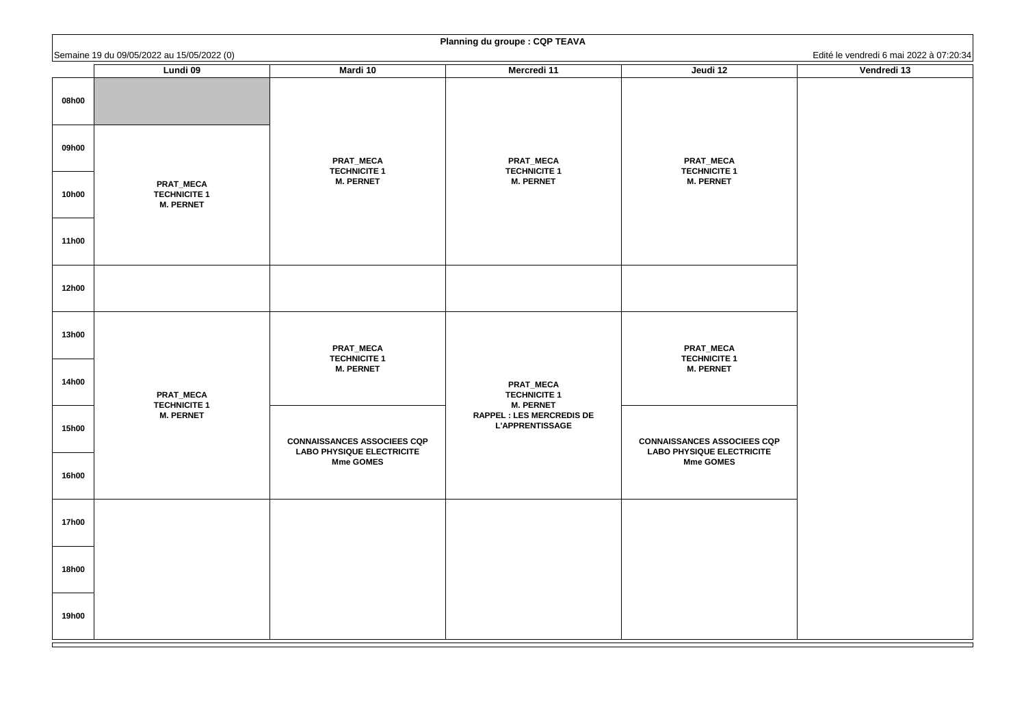|              |                                                               |                                                                        | <b>Promining ad groups: Own TEAVA</b>                       |                                                                        |                                                        |
|--------------|---------------------------------------------------------------|------------------------------------------------------------------------|-------------------------------------------------------------|------------------------------------------------------------------------|--------------------------------------------------------|
|              | Semaine 19 du 09/05/2022 au 15/05/2022 (0)<br><b>Lundi 09</b> | <b>Mardi 10</b>                                                        | <b>Mercredi 11</b>                                          | Jeudi 12                                                               | Edité le vendredi 6 mai 2022 à 07:20:34<br>Vendredi 13 |
| 08h00        |                                                               |                                                                        |                                                             |                                                                        |                                                        |
| 09h00        |                                                               | <b>PRAT_MECA</b><br><b>TECHNICITE 1</b>                                | <b>PRAT_MECA</b><br><b>TECHNICITE 1</b>                     | <b>PRAT_MECA</b><br><b>TECHNICITE 1</b>                                |                                                        |
| <b>10h00</b> | <b>PRAT_MECA</b><br><b>TECHNICITE 1</b><br><b>M. PERNET</b>   | <b>M. PERNET</b>                                                       | <b>M. PERNET</b>                                            | <b>M. PERNET</b>                                                       |                                                        |
| <b>11h00</b> |                                                               |                                                                        |                                                             |                                                                        |                                                        |
| <b>12h00</b> |                                                               |                                                                        |                                                             |                                                                        |                                                        |
| <b>13h00</b> |                                                               | <b>PRAT_MECA</b><br><b>TECHNICITE 1</b><br><b>M. PERNET</b>            |                                                             | <b>PRAT_MECA</b><br><b>TECHNICITE 1</b><br><b>M. PERNET</b>            |                                                        |
| <b>14h00</b> | <b>PRAT_MECA</b><br><b>TECHNICITE 1</b>                       |                                                                        | <b>PRAT_MECA</b><br><b>TECHNICITE 1</b><br><b>M. PERNET</b> |                                                                        |                                                        |
| <b>15h00</b> | <b>M. PERNET</b>                                              | <b>CONNAISSANCES ASSOCIEES CQP</b><br><b>LABO PHYSIQUE ELECTRICITE</b> | <b>RAPPEL : LES MERCREDIS DE</b><br><b>L'APPRENTISSAGE</b>  | <b>CONNAISSANCES ASSOCIEES CQP</b><br><b>LABO PHYSIQUE ELECTRICITE</b> |                                                        |
| <b>16h00</b> |                                                               | <b>Mme GOMES</b>                                                       |                                                             | <b>Mme GOMES</b>                                                       |                                                        |
| <b>17h00</b> |                                                               |                                                                        |                                                             |                                                                        |                                                        |
| <b>18h00</b> |                                                               |                                                                        |                                                             |                                                                        |                                                        |
| <b>19h00</b> |                                                               |                                                                        |                                                             |                                                                        |                                                        |

| Vendredi 13                             |  |  |  |  |  |  |
|-----------------------------------------|--|--|--|--|--|--|
| Edité le vendredi 6 mai 2022 à 07:20:34 |  |  |  |  |  |  |
|                                         |  |  |  |  |  |  |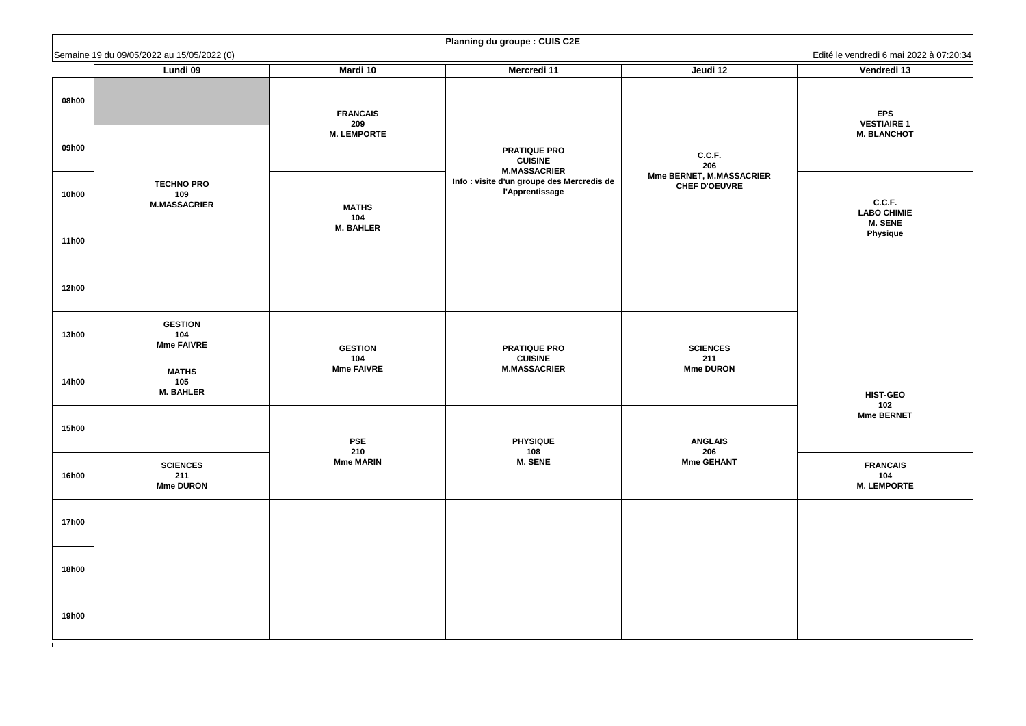**EPS VESTIAIRE 1 M. BLANCHOT**

**C.C.F. LABO CHIMIE M. SENE Physique**

**FRANCAIS 104 M. LEMPORTE**

|              | Semaine 19 du 09/05/2022 au 15/05/2022 (0)      |                                                                                                                                                        |                                                                                                     |                          | Edité le vendredi 6 mai 2                    |
|--------------|-------------------------------------------------|--------------------------------------------------------------------------------------------------------------------------------------------------------|-----------------------------------------------------------------------------------------------------|--------------------------|----------------------------------------------|
|              | <b>Lundi 09</b>                                 | <b>Mardi 10</b>                                                                                                                                        | <b>Mercredi 11</b>                                                                                  | Jeudi 12                 | Vendredi 13                                  |
| 08h00        |                                                 | <b>FRANCAIS</b><br>209                                                                                                                                 |                                                                                                     |                          | <b>EPS</b><br><b>VESTIAIRE 1</b>             |
| 09h00        |                                                 |                                                                                                                                                        | <b>M. LEMPORTE</b><br><b>PRATIQUE PRO</b><br>C.C.F.<br><b>CUISINE</b><br>206<br><b>M.MASSACRIER</b> | <b>M. BLANCHO</b>        |                                              |
| <b>10h00</b> | <b>TECHNO PRO</b><br>109<br><b>M.MASSACRIER</b> | <b>Mme BERNET, M.MASSACRIER</b><br>Info : visite d'un groupe des Mercredis de<br><b>CHEF D'OEUVRE</b><br><b>l'Apprentissage</b><br><b>MATHS</b><br>104 | C.C.F.<br><b>LABO CHIMIE</b>                                                                        |                          |                                              |
| <b>11h00</b> |                                                 | <b>M. BAHLER</b>                                                                                                                                       |                                                                                                     |                          | <b>M. SENE</b><br><b>Physique</b>            |
| <b>12h00</b> |                                                 |                                                                                                                                                        |                                                                                                     |                          |                                              |
| <b>13h00</b> | <b>GESTION</b><br>104<br><b>Mme FAIVRE</b>      | <b>GESTION</b><br>104                                                                                                                                  | <b>PRATIQUE PRO</b><br><b>CUISINE</b>                                                               | <b>SCIENCES</b>          |                                              |
| <b>14h00</b> | <b>MATHS</b><br>105<br><b>M. BAHLER</b>         | <b>Mme FAIVRE</b>                                                                                                                                      | <b>M.MASSACRIER</b>                                                                                 | 211<br><b>Mme DURON</b>  | <b>HIST-GEO</b><br>102                       |
| <b>15h00</b> |                                                 | <b>PSE</b><br>210                                                                                                                                      | <b>PHYSIQUE</b><br>108                                                                              | <b>ANGLAIS</b>           | Mme BERNET                                   |
| <b>16h00</b> | <b>SCIENCES</b><br>211<br><b>Mme DURON</b>      | <b>Mme MARIN</b>                                                                                                                                       | <b>M. SENE</b>                                                                                      | 206<br><b>Mme GEHANT</b> | <b>FRANCAIS</b><br>104<br><b>M. LEMPORTI</b> |
| <b>17h00</b> |                                                 |                                                                                                                                                        |                                                                                                     |                          |                                              |
| <b>18h00</b> |                                                 |                                                                                                                                                        |                                                                                                     |                          |                                              |
| <b>19h00</b> |                                                 |                                                                                                                                                        |                                                                                                     |                          |                                              |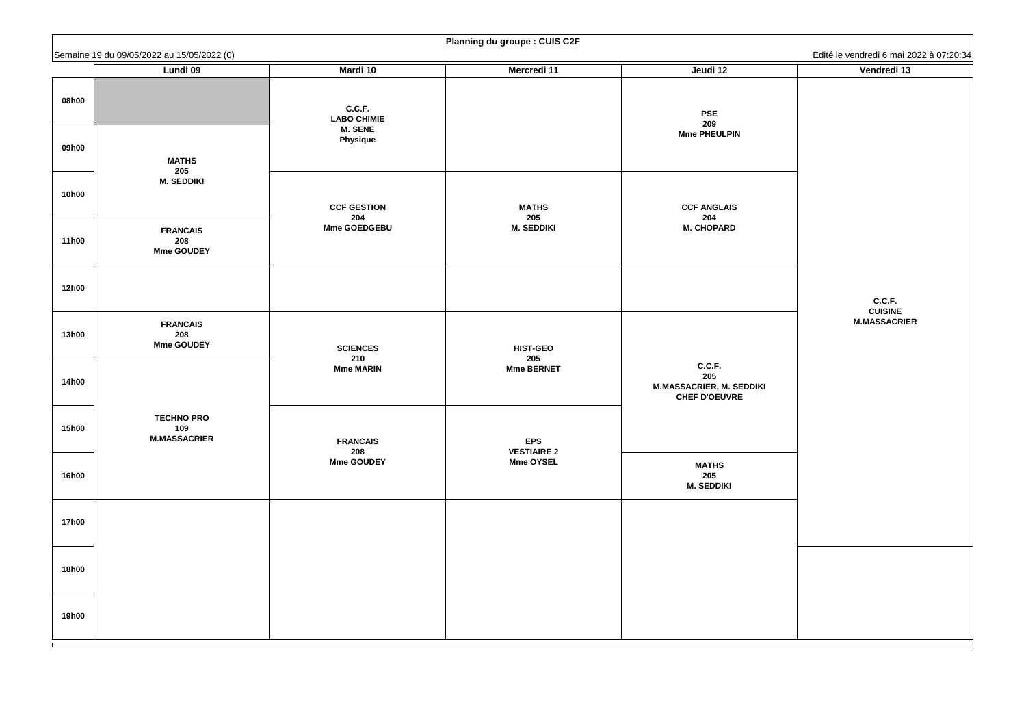#### **C.C.F. CUISINE M.MASSACRIER**

|              | Semaine 19 du 09/05/2022 au 15/05/2022 (0)      |                                                |                                  |                                                                          | Edité le vendredi 6 mai 2 |
|--------------|-------------------------------------------------|------------------------------------------------|----------------------------------|--------------------------------------------------------------------------|---------------------------|
|              | <b>Lundi 09</b>                                 | <b>Mardi 10</b>                                | <b>Mercredi 11</b>               | Jeudi 12                                                                 | Vendredi 13               |
| 08h00        |                                                 | C.C.F.<br><b>LABO CHIMIE</b><br><b>M. SENE</b> |                                  | <b>PSE</b><br>209                                                        |                           |
| 09h00        | <b>MATHS</b><br>205                             | <b>Physique</b>                                |                                  | <b>Mme PHEULPIN</b>                                                      |                           |
| <b>10h00</b> | <b>M. SEDDIKI</b>                               | <b>CCF GESTION</b><br>204                      | <b>MATHS</b><br>205              | <b>CCF ANGLAIS</b><br>204                                                |                           |
| <b>11h00</b> | <b>FRANCAIS</b><br>208<br><b>Mme GOUDEY</b>     | <b>Mme GOEDGEBU</b>                            | <b>M. SEDDIKI</b>                | <b>M. CHOPARD</b>                                                        |                           |
| <b>12h00</b> |                                                 |                                                |                                  |                                                                          | C.C.F.<br><b>CUISINE</b>  |
| <b>13h00</b> | <b>FRANCAIS</b><br>208<br><b>Mme GOUDEY</b>     | <b>SCIENCES</b><br>210                         | <b>HIST-GEO</b><br>205           |                                                                          | <b>M.MASSACRIE</b>        |
| <b>14h00</b> |                                                 | <b>Mme MARIN</b>                               | <b>Mme BERNET</b>                | C.C.F.<br>205<br><b>M.MASSACRIER, M. SEDDIKI</b><br><b>CHEF D'OEUVRE</b> |                           |
| <b>15h00</b> | <b>TECHNO PRO</b><br>109<br><b>M.MASSACRIER</b> | <b>FRANCAIS</b><br>208                         | <b>EPS</b><br><b>VESTIAIRE 2</b> |                                                                          |                           |
| <b>16h00</b> |                                                 | <b>Mme GOUDEY</b>                              | <b>Mme OYSEL</b>                 | <b>MATHS</b><br>205<br><b>M. SEDDIKI</b>                                 |                           |
| <b>17h00</b> |                                                 |                                                |                                  |                                                                          |                           |
| <b>18h00</b> |                                                 |                                                |                                  |                                                                          |                           |
| <b>19h00</b> |                                                 |                                                |                                  |                                                                          |                           |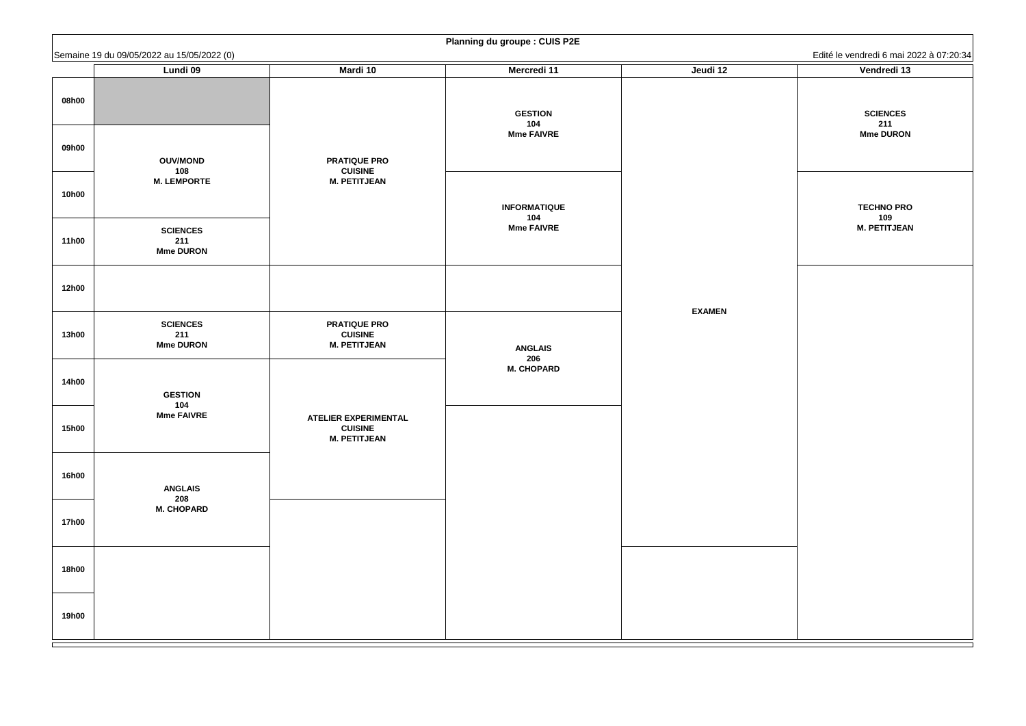**SCIENCES 211 Mme DURON**

**TECHNO PRO 109 M. PETITJEAN**

|              | Semaine 19 du 09/05/2022 au 15/05/2022 (0) |                                                                      |                          |               | Edité le vendredi 6 mai 2  |
|--------------|--------------------------------------------|----------------------------------------------------------------------|--------------------------|---------------|----------------------------|
|              | <b>Lundi 09</b>                            | <b>Mardi 10</b>                                                      | <b>Mercredi 11</b>       | Jeudi 12      | Vendredi 13                |
| 08h00        |                                            |                                                                      | <b>GESTION</b><br>104    |               | <b>SCIENCES</b><br>211     |
| 09h00        | <b>OUV/MOND</b><br>108                     | <b>PRATIQUE PRO</b><br><b>CUISINE</b>                                | <b>Mme FAIVRE</b>        |               | <b>Mme DURON</b>           |
| <b>10h00</b> | <b>M. LEMPORTE</b>                         | <b>M. PETITJEAN</b>                                                  | <b>INFORMATIQUE</b>      |               | <b>TECHNO PRO</b>          |
| <b>11h00</b> | <b>SCIENCES</b><br>211<br><b>Mme DURON</b> |                                                                      | 104<br><b>Mme FAIVRE</b> |               | 109<br><b>M. PETITJEAI</b> |
| <b>12h00</b> |                                            |                                                                      |                          |               |                            |
| <b>13h00</b> | <b>SCIENCES</b><br>211<br><b>Mme DURON</b> | <b>PRATIQUE PRO</b><br><b>CUISINE</b><br><b>M. PETITJEAN</b>         | <b>ANGLAIS</b><br>206    | <b>EXAMEN</b> |                            |
| <b>14h00</b> | <b>GESTION</b><br>104                      |                                                                      | <b>M. CHOPARD</b>        |               |                            |
| <b>15h00</b> | <b>Mme FAIVRE</b>                          | <b>ATELIER EXPERIMENTAL</b><br><b>CUISINE</b><br><b>M. PETITJEAN</b> |                          |               |                            |
| <b>16h00</b> | <b>ANGLAIS</b><br>208                      |                                                                      |                          |               |                            |
| <b>17h00</b> | <b>M. CHOPARD</b>                          |                                                                      |                          |               |                            |
| <b>18h00</b> |                                            |                                                                      |                          |               |                            |
| <b>19h00</b> |                                            |                                                                      |                          |               |                            |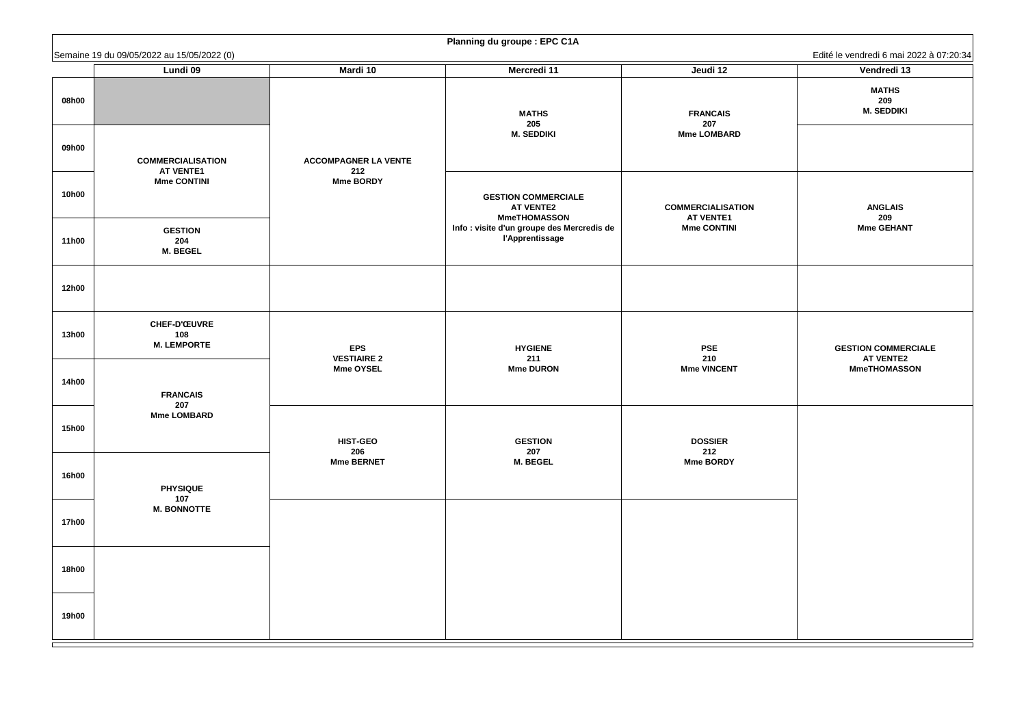| Edité le vendredi 6 mai 2022 à 07:20:3         |
|------------------------------------------------|
| Vendredi 13                                    |
| <b>MATHS</b><br>209                            |
| <b>M. SEDDIKI</b>                              |
|                                                |
|                                                |
|                                                |
|                                                |
| <b>ANGLAIS</b><br>209                          |
| <b>Mme GEHANT</b>                              |
|                                                |
|                                                |
|                                                |
|                                                |
|                                                |
| <b>GESTION COMMERCIALE</b><br><b>AT VENTE2</b> |
| <b>MmeTHOMASSON</b>                            |
|                                                |
|                                                |
|                                                |
|                                                |
|                                                |
|                                                |
|                                                |
|                                                |
|                                                |
|                                                |
|                                                |
|                                                |
|                                                |
|                                                |

|              | Semaine 19 du 09/05/2022 au 15/05/2022 (0)       |                                                      |                                                                       |                                              | Edité le vendredi 6 mai 2022 à 07:20:34                               |
|--------------|--------------------------------------------------|------------------------------------------------------|-----------------------------------------------------------------------|----------------------------------------------|-----------------------------------------------------------------------|
|              | <b>Lundi 09</b>                                  | <b>Mardi 10</b>                                      | <b>Mercredi 11</b>                                                    | Jeudi 12                                     | Vendredi 13                                                           |
| 08h00        |                                                  |                                                      | <b>MATHS</b><br>205                                                   | <b>FRANCAIS</b><br>207                       | <b>MATHS</b><br>209<br><b>M. SEDDIKI</b>                              |
| 09h00        | <b>COMMERCIALISATION</b><br><b>AT VENTE1</b>     | <b>ACCOMPAGNER LA VENTE</b><br>212                   | <b>M. SEDDIKI</b>                                                     | <b>Mme LOMBARD</b>                           |                                                                       |
| <b>10h00</b> | <b>Mme CONTINI</b>                               | <b>Mme BORDY</b>                                     | <b>GESTION COMMERCIALE</b><br><b>AT VENTE2</b><br><b>MmeTHOMASSON</b> | <b>COMMERCIALISATION</b><br><b>AT VENTE1</b> | <b>ANGLAIS</b><br>209                                                 |
| <b>11h00</b> | <b>GESTION</b><br>204<br><b>M. BEGEL</b>         |                                                      | Info : visite d'un groupe des Mercredis de<br><b>l'Apprentissage</b>  | <b>Mme CONTINI</b>                           | <b>Mme GEHANT</b>                                                     |
| <b>12h00</b> |                                                  |                                                      |                                                                       |                                              |                                                                       |
| <b>13h00</b> | <b>CHEF-D'ŒUVRE</b><br>108<br><b>M. LEMPORTE</b> | <b>EPS</b><br><b>VESTIAIRE 2</b><br><b>Mme OYSEL</b> | <b>HYGIENE</b><br>211<br><b>Mme DURON</b>                             | <b>PSE</b><br>210<br><b>Mme VINCENT</b>      | <b>GESTION COMMERCIALE</b><br><b>AT VENTE2</b><br><b>MmeTHOMASSON</b> |
| <b>14h00</b> | <b>FRANCAIS</b><br>207                           |                                                      |                                                                       |                                              |                                                                       |
| <b>15h00</b> | <b>Mme LOMBARD</b>                               | <b>HIST-GEO</b><br>206                               | <b>GESTION</b><br>207                                                 | <b>DOSSIER</b><br>212                        |                                                                       |
| <b>16h00</b> | <b>PHYSIQUE</b><br>107                           | <b>Mme BERNET</b>                                    | <b>M. BEGEL</b>                                                       | <b>Mme BORDY</b>                             |                                                                       |
| <b>17h00</b> | <b>M. BONNOTTE</b>                               |                                                      |                                                                       |                                              |                                                                       |
| <b>18h00</b> |                                                  |                                                      |                                                                       |                                              |                                                                       |
| <b>19h00</b> |                                                  |                                                      |                                                                       |                                              |                                                                       |

| <b>Planning du groupe : EPC C1A</b> |  |  |  |  |  |
|-------------------------------------|--|--|--|--|--|
|-------------------------------------|--|--|--|--|--|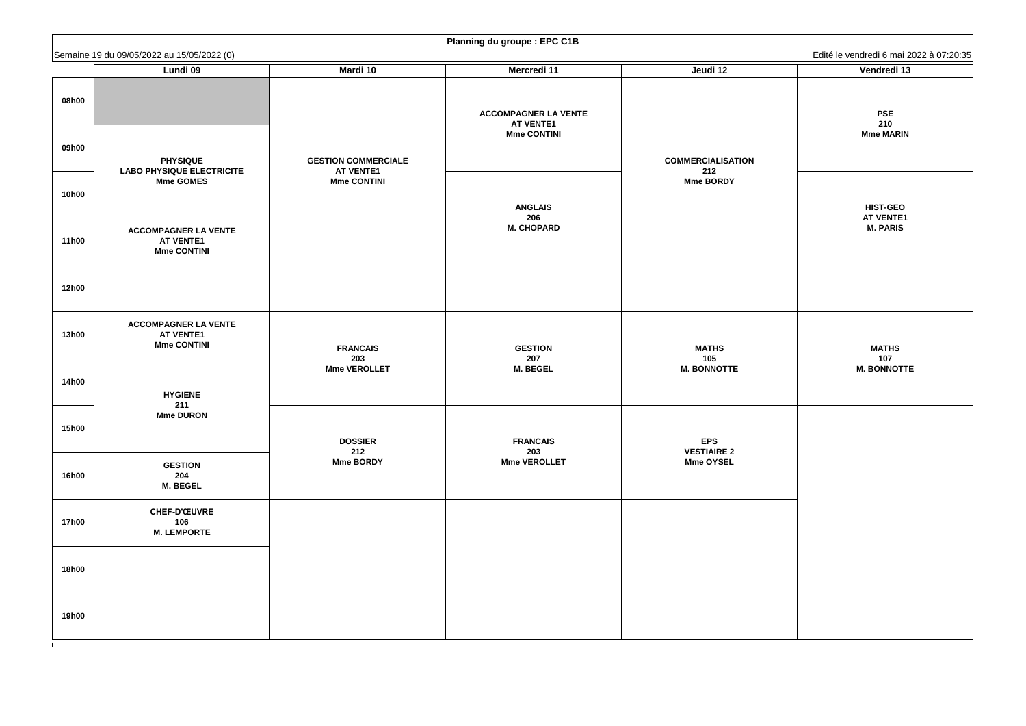| Edité le vendredi 6 mai 2022 à 07:20:35                |  |  |  |  |  |
|--------------------------------------------------------|--|--|--|--|--|
| Vendredi 13                                            |  |  |  |  |  |
| <b>PSE</b><br>210<br><b>Mme MARIN</b>                  |  |  |  |  |  |
| <b>HIST-GEO</b><br><b>AT VENTE1</b><br><b>M. PARIS</b> |  |  |  |  |  |
|                                                        |  |  |  |  |  |
| <b>MATHS</b><br>107<br><b>M. BONNOTTE</b>              |  |  |  |  |  |
|                                                        |  |  |  |  |  |
|                                                        |  |  |  |  |  |
|                                                        |  |  |  |  |  |

|              | Semaine 19 du 09/05/2022 au 15/05/2022 (0)                            |                                                | $\frac{1}{2}$ . Idminig ad groupe . Li $\circ$ $\circ$ is |                                  | Edité le vendredi 6 mai 2022 à 07:20:35 |
|--------------|-----------------------------------------------------------------------|------------------------------------------------|-----------------------------------------------------------|----------------------------------|-----------------------------------------|
|              | <b>Lundi 09</b>                                                       | <b>Mardi 10</b>                                | <b>Mercredi 11</b>                                        | Jeudi 12                         | Vendredi 13                             |
| 08h00        |                                                                       |                                                | <b>ACCOMPAGNER LA VENTE</b><br><b>AT VENTE1</b>           |                                  | <b>PSE</b><br>210                       |
| 09h00        | <b>PHYSIQUE</b><br><b>LABO PHYSIQUE ELECTRICITE</b>                   | <b>GESTION COMMERCIALE</b><br><b>AT VENTE1</b> | <b>Mme CONTINI</b>                                        | <b>COMMERCIALISATION</b><br>212  | <b>Mme MARIN</b>                        |
| <b>10h00</b> | <b>Mme GOMES</b>                                                      | <b>Mme CONTINI</b>                             | <b>ANGLAIS</b>                                            | <b>Mme BORDY</b>                 | <b>HIST-GEO</b>                         |
| <b>11h00</b> | <b>ACCOMPAGNER LA VENTE</b><br><b>AT VENTE1</b><br><b>Mme CONTINI</b> |                                                | 206<br><b>M. CHOPARD</b>                                  |                                  | <b>AT VENTE1</b><br><b>M. PARIS</b>     |
| <b>12h00</b> |                                                                       |                                                |                                                           |                                  |                                         |
| <b>13h00</b> | <b>ACCOMPAGNER LA VENTE</b><br><b>AT VENTE1</b><br><b>Mme CONTINI</b> | <b>FRANCAIS</b><br>203                         | <b>GESTION</b><br>207                                     | <b>MATHS</b><br>105              | <b>MATHS</b><br>107                     |
| <b>14h00</b> | <b>HYGIENE</b><br>211                                                 | <b>Mme VEROLLET</b>                            | <b>M. BEGEL</b>                                           | <b>M. BONNOTTE</b>               | <b>M. BONNOTTE</b>                      |
| <b>15h00</b> | <b>Mme DURON</b>                                                      | <b>DOSSIER</b><br>212                          | <b>FRANCAIS</b><br>203                                    | <b>EPS</b><br><b>VESTIAIRE 2</b> |                                         |
| <b>16h00</b> | <b>GESTION</b><br>204<br><b>M. BEGEL</b>                              | <b>Mme BORDY</b>                               | <b>Mme VEROLLET</b>                                       | <b>Mme OYSEL</b>                 |                                         |
| <b>17h00</b> | <b>CHEF-D'ŒUVRE</b><br>106<br><b>M. LEMPORTE</b>                      |                                                |                                                           |                                  |                                         |
| <b>18h00</b> |                                                                       |                                                |                                                           |                                  |                                         |
| <b>19h00</b> |                                                                       |                                                |                                                           |                                  |                                         |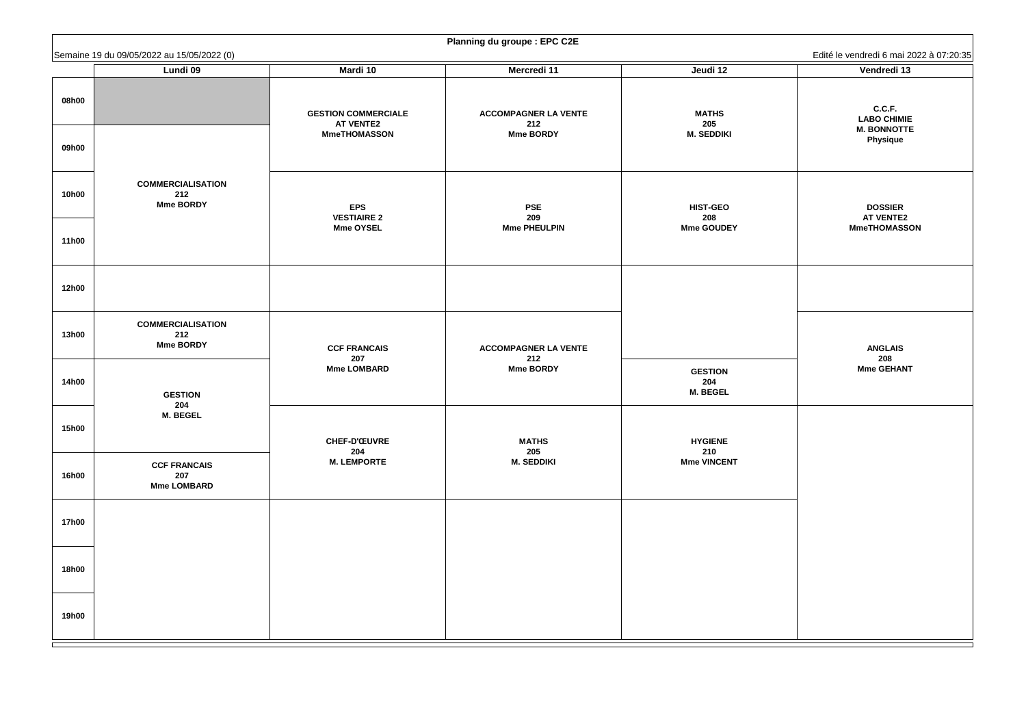**C.C.F. LABO CHIMIE M. BONNOTTE Physique**

**DOSSIER AT VENTE2 MmeTHOMASSON**

**ANGLAIS 208 Mme GEHANT**

|              |                                                                              |                                                | $\frac{1}{2}$ and $\frac{1}{2}$ and $\frac{1}{2}$ and $\frac{1}{2}$ are $\frac{1}{2}$ and $\frac{1}{2}$ are $\frac{1}{2}$ and $\frac{1}{2}$ are $\frac{1}{2}$ and $\frac{1}{2}$ are $\frac{1}{2}$ are $\frac{1}{2}$ are $\frac{1}{2}$ are $\frac{1}{2}$ are $\frac{1}{2}$ are $\frac{1}{2}$ a |                                          |                                          |
|--------------|------------------------------------------------------------------------------|------------------------------------------------|-----------------------------------------------------------------------------------------------------------------------------------------------------------------------------------------------------------------------------------------------------------------------------------------------|------------------------------------------|------------------------------------------|
|              | Semaine 19 du 09/05/2022 au 15/05/2022 (0)<br>Lundi 09                       | <b>Mardi 10</b>                                | <b>Mercredi 11</b>                                                                                                                                                                                                                                                                            | Jeudi 12                                 | Edité le vendredi 6 mai 2<br>Vendredi 13 |
| 08h00        |                                                                              | <b>GESTION COMMERCIALE</b><br><b>AT VENTE2</b> | <b>ACCOMPAGNER LA VENTE</b><br>212                                                                                                                                                                                                                                                            | <b>MATHS</b><br>205                      | C.C.F.<br><b>LABO CHIMIE</b>             |
| 09h00        |                                                                              | <b>MmeTHOMASSON</b>                            | <b>Mme BORDY</b>                                                                                                                                                                                                                                                                              | <b>M. SEDDIKI</b>                        | <b>M. BONNOTT</b><br><b>Physique</b>     |
| <b>10h00</b> | <b>COMMERCIALISATION</b><br>212<br><b>Mme BORDY</b>                          | <b>EPS</b><br><b>VESTIAIRE 2</b>               | <b>PSE</b><br>209                                                                                                                                                                                                                                                                             | <b>HIST-GEO</b><br>208                   | <b>DOSSIER</b><br><b>AT VENTE2</b>       |
| <b>11h00</b> |                                                                              | <b>Mme OYSEL</b>                               | <b>Mme PHEULPIN</b>                                                                                                                                                                                                                                                                           | <b>Mme GOUDEY</b>                        | <b>MmeTHOMASS</b>                        |
| <b>12h00</b> |                                                                              |                                                |                                                                                                                                                                                                                                                                                               |                                          |                                          |
| <b>13h00</b> | <b>COMMERCIALISATION</b><br>212<br><b>Mme BORDY</b><br><b>GESTION</b><br>204 | <b>CCF FRANCAIS</b><br>207                     | <b>ACCOMPAGNER LA VENTE</b><br>212                                                                                                                                                                                                                                                            |                                          | <b>ANGLAIS</b><br>208                    |
| <b>14h00</b> |                                                                              | <b>Mme LOMBARD</b>                             | <b>Mme BORDY</b>                                                                                                                                                                                                                                                                              | <b>GESTION</b><br>204<br><b>M. BEGEL</b> | <b>Mme GEHAN</b>                         |
| <b>15h00</b> | <b>M. BEGEL</b>                                                              | <b>CHEF-D'ŒUVRE</b><br>204                     | <b>MATHS</b><br>205                                                                                                                                                                                                                                                                           | <b>HYGIENE</b><br>210                    |                                          |
| <b>16h00</b> | <b>CCF FRANCAIS</b><br>207<br><b>Mme LOMBARD</b>                             | <b>M. LEMPORTE</b>                             | <b>M. SEDDIKI</b>                                                                                                                                                                                                                                                                             | <b>Mme VINCENT</b>                       |                                          |
| <b>17h00</b> |                                                                              |                                                |                                                                                                                                                                                                                                                                                               |                                          |                                          |
| <b>18h00</b> |                                                                              |                                                |                                                                                                                                                                                                                                                                                               |                                          |                                          |
| <b>19h00</b> |                                                                              |                                                |                                                                                                                                                                                                                                                                                               |                                          |                                          |

| <b>Planning du groupe : EPC C2E</b> |  |  |  |  |
|-------------------------------------|--|--|--|--|
|-------------------------------------|--|--|--|--|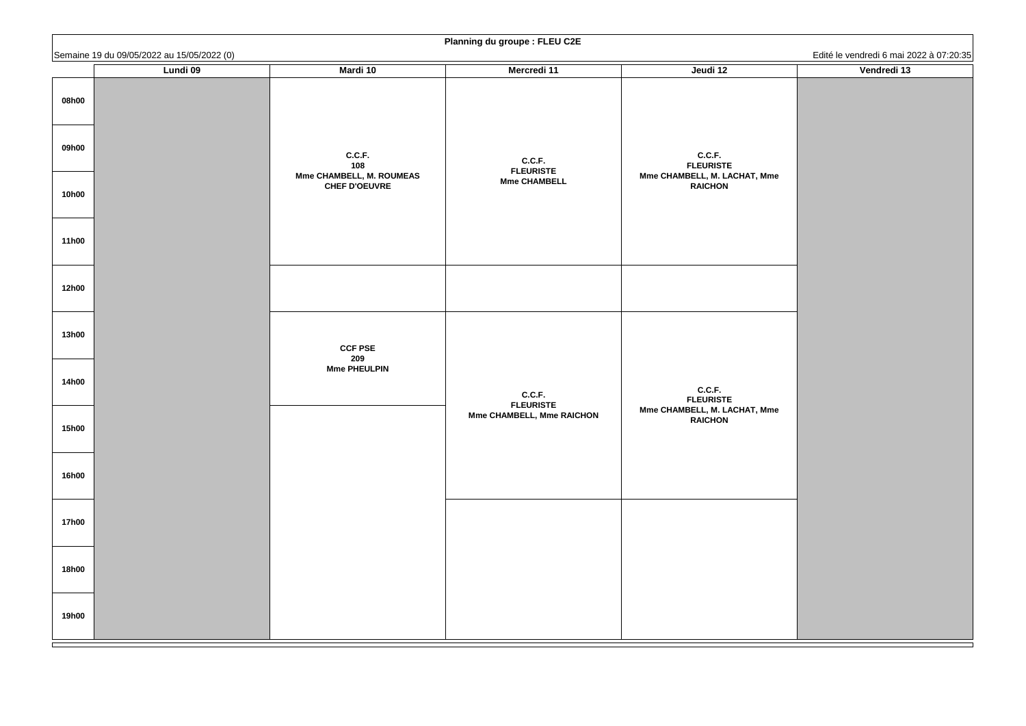|              | Semaine 19 du 09/05/2022 au 15/05/2022 (0) |                                           | <b>Flaming au groupe. FLLU UZL</b>                |                                                            | Edité le vendredi 6 mai 2022 à 07:20:35 |
|--------------|--------------------------------------------|-------------------------------------------|---------------------------------------------------|------------------------------------------------------------|-----------------------------------------|
|              | Lundi 09                                   | <b>Mardi 10</b>                           | <b>Mercredi 11</b>                                | Jeudi 12                                                   | Vendredi 13                             |
| 08h00        |                                            |                                           |                                                   |                                                            |                                         |
| 09h00        |                                            | C.C.F.<br>108<br>Mme CHAMBELL, M. ROUMEAS | C.C.F.<br><b>FLEURISTE</b><br><b>Mme CHAMBELL</b> | C.C.F.<br><b>FLEURISTE</b><br>Mme CHAMBELL, M. LACHAT, Mme |                                         |
| <b>10h00</b> |                                            | <b>CHEF D'OEUVRE</b>                      |                                                   | <b>RAICHON</b>                                             |                                         |
| <b>11h00</b> |                                            |                                           |                                                   |                                                            |                                         |
| <b>12h00</b> |                                            |                                           |                                                   |                                                            |                                         |
| <b>13h00</b> |                                            | <b>CCF PSE</b><br>209                     |                                                   |                                                            |                                         |
| <b>14h00</b> |                                            | <b>Mme PHEULPIN</b>                       | C.C.F.<br><b>FLEURISTE</b>                        | C.C.F.<br><b>FLEURISTE</b>                                 |                                         |
| <b>15h00</b> |                                            |                                           | <b>Mme CHAMBELL, Mme RAICHON</b>                  | Mme CHAMBELL, M. LACHAT, Mme<br><b>RAICHON</b>             |                                         |
| <b>16h00</b> |                                            |                                           |                                                   |                                                            |                                         |
| <b>17h00</b> |                                            |                                           |                                                   |                                                            |                                         |
| <b>18h00</b> |                                            |                                           |                                                   |                                                            |                                         |
| <b>19h00</b> |                                            |                                           |                                                   |                                                            |                                         |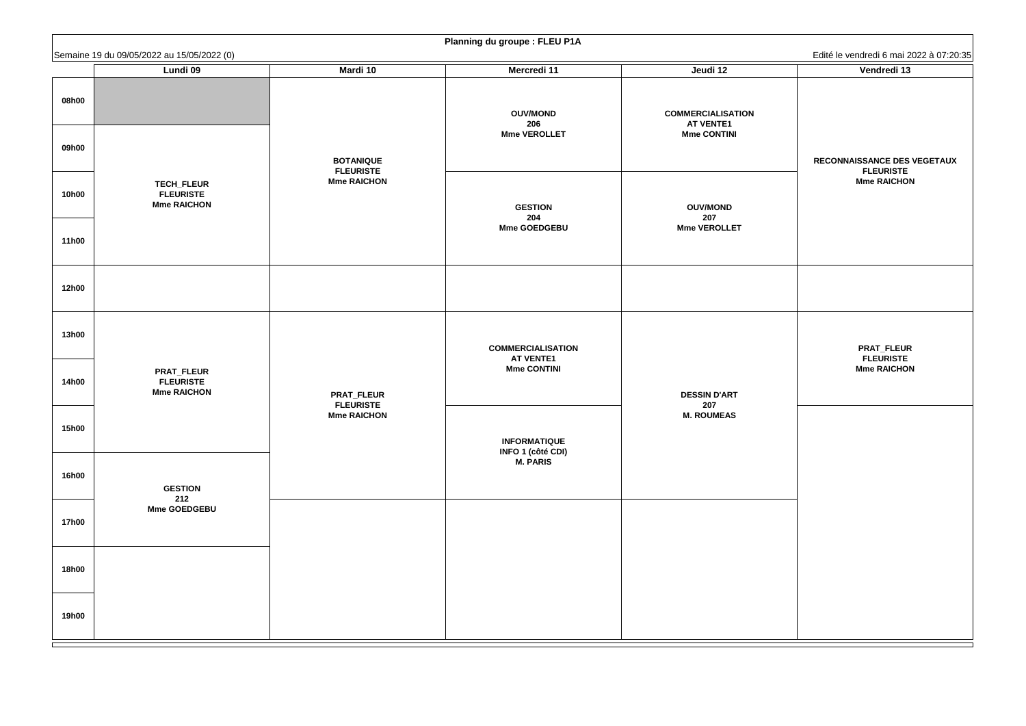#### **RECONNAISSANCE DES VEGETAUX FLEURISTE Mme RAICHON**

#### **PRAT\_FLEUR FLEURISTE Mme RAICHON**

|                              | Semaine 19 du 09/05/2022 au 15/05/2022 (0)                  |                                                             |                                                                    |                                                                    | Edité le vendredi 6 mai 2                                          |
|------------------------------|-------------------------------------------------------------|-------------------------------------------------------------|--------------------------------------------------------------------|--------------------------------------------------------------------|--------------------------------------------------------------------|
|                              | Lundi 09                                                    | <b>Mardi 10</b>                                             | <b>Mercredi 11</b>                                                 | Jeudi 12                                                           | Vendredi 13                                                        |
| 08h00<br>09h00               |                                                             |                                                             | <b>OUV/MOND</b><br>206<br><b>Mme VEROLLET</b>                      | <b>COMMERCIALISATION</b><br><b>AT VENTE1</b><br><b>Mme CONTINI</b> |                                                                    |
| <b>10h00</b>                 | <b>TECH_FLEUR</b><br><b>FLEURISTE</b><br><b>Mme RAICHON</b> | <b>BOTANIQUE</b><br><b>FLEURISTE</b><br><b>Mme RAICHON</b>  | <b>GESTION</b>                                                     | <b>OUV/MOND</b>                                                    | <b>RECONNAISSANCE DES</b><br><b>FLEURISTE</b><br><b>Mme RAICHO</b> |
| <b>11h00</b>                 |                                                             |                                                             | 204<br><b>Mme GOEDGEBU</b>                                         | 207<br><b>Mme VEROLLET</b>                                         |                                                                    |
| <b>12h00</b>                 |                                                             |                                                             |                                                                    |                                                                    |                                                                    |
| <b>13h00</b>                 |                                                             |                                                             | <b>COMMERCIALISATION</b><br><b>AT VENTE1</b>                       |                                                                    | <b>PRAT_FLEUF</b><br><b>FLEURISTE</b>                              |
| <b>14h00</b><br><b>15h00</b> | <b>PRAT_FLEUR</b><br><b>FLEURISTE</b><br><b>Mme RAICHON</b> | <b>PRAT_FLEUR</b><br><b>FLEURISTE</b><br><b>Mme RAICHON</b> | <b>Mme CONTINI</b>                                                 | <b>DESSIN D'ART</b><br>207<br><b>M. ROUMEAS</b>                    | <b>Mme RAICHO</b>                                                  |
| <b>16h00</b>                 | <b>GESTION</b><br>212                                       |                                                             | <b>INFORMATIQUE</b><br><b>INFO 1 (côté CDI)</b><br><b>M. PARIS</b> |                                                                    |                                                                    |
| <b>17h00</b>                 | <b>Mme GOEDGEBU</b>                                         |                                                             |                                                                    |                                                                    |                                                                    |
| <b>18h00</b>                 |                                                             |                                                             |                                                                    |                                                                    |                                                                    |
| <b>19h00</b>                 |                                                             |                                                             |                                                                    |                                                                    |                                                                    |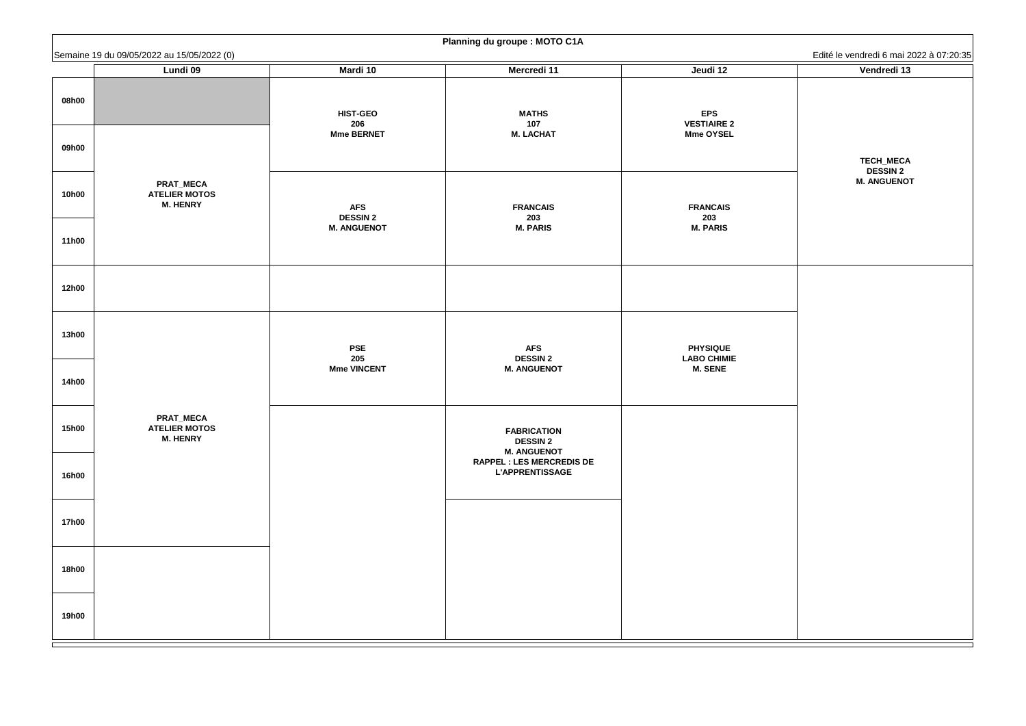**TECH\_MECA DESSIN 2 M. ANGUENOT**

|              | Semaine 19 du 09/05/2022 au 15/05/2022 (0)                  |                               |                                                             |                                       | Edité le vendredi 6 mai 2    |
|--------------|-------------------------------------------------------------|-------------------------------|-------------------------------------------------------------|---------------------------------------|------------------------------|
|              | Lundi 09                                                    | <b>Mardi 10</b>               | <b>Mercredi 11</b>                                          | Jeudi 12                              | Vendredi 13                  |
| 08h00        |                                                             | <b>HIST-GEO</b><br>206        | <b>MATHS</b><br>107                                         | <b>EPS</b><br><b>VESTIAIRE 2</b>      |                              |
| 09h00        |                                                             | <b>Mme BERNET</b>             | <b>M. LACHAT</b>                                            | <b>Mme OYSEL</b>                      | TECH_MECA<br><b>DESSIN 2</b> |
| <b>10h00</b> | <b>PRAT_MECA</b><br><b>ATELIER MOTOS</b><br><b>M. HENRY</b> | <b>AFS</b><br><b>DESSIN 2</b> | <b>FRANCAIS</b><br>203                                      | <b>FRANCAIS</b><br>203                | <b>M. ANGUENO</b>            |
| <b>11h00</b> |                                                             | <b>M. ANGUENOT</b>            | <b>M. PARIS</b>                                             | <b>M. PARIS</b>                       |                              |
| <b>12h00</b> |                                                             |                               |                                                             |                                       |                              |
| <b>13h00</b> |                                                             | <b>PSE</b><br>205             | <b>AFS</b><br><b>DESSIN 2</b>                               | <b>PHYSIQUE</b><br><b>LABO CHIMIE</b> |                              |
| <b>14h00</b> |                                                             | <b>Mme VINCENT</b>            | <b>M. ANGUENOT</b>                                          | <b>M. SENE</b>                        |                              |
| <b>15h00</b> | <b>PRAT_MECA</b><br><b>ATELIER MOTOS</b><br><b>M. HENRY</b> |                               | <b>FABRICATION</b><br><b>DESSIN 2</b><br><b>M. ANGUENOT</b> |                                       |                              |
| <b>16h00</b> |                                                             |                               | <b>RAPPEL : LES MERCREDIS DE</b><br><b>L'APPRENTISSAGE</b>  |                                       |                              |
| <b>17h00</b> |                                                             |                               |                                                             |                                       |                              |
| <b>18h00</b> |                                                             |                               |                                                             |                                       |                              |
| <b>19h00</b> |                                                             |                               |                                                             |                                       |                              |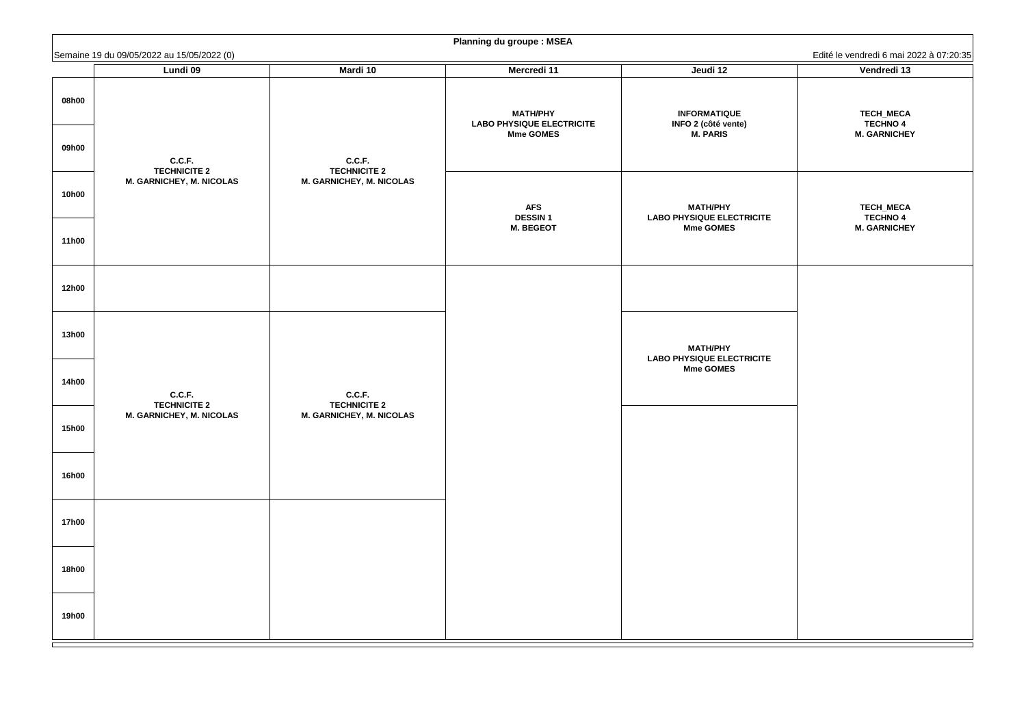**TECH\_MECA TECHNO 4 M. GARNICHEY**

**TECH\_MECA TECHNO 4 M. GARNICHEY**

|              |                                                        |                                                        | <b>Planning du groupe: MSEA</b>                     |                                                      |                              |
|--------------|--------------------------------------------------------|--------------------------------------------------------|-----------------------------------------------------|------------------------------------------------------|------------------------------|
|              | Semaine 19 du 09/05/2022 au 15/05/2022 (0)             |                                                        |                                                     |                                                      | Edité le vendredi 6 mai 2    |
|              | <b>Lundi 09</b>                                        | <b>Mardi 10</b>                                        | <b>Mercredi 11</b>                                  | Jeudi 12                                             | Vendredi 13                  |
| 08h00        |                                                        |                                                        | <b>MATH/PHY</b><br><b>LABO PHYSIQUE ELECTRICITE</b> | <b>INFORMATIQUE</b><br><b>INFO 2 (côté vente)</b>    | TECH_MECA<br><b>TECHNO 4</b> |
| 09h00        | C.C.F.                                                 | C.C.F.                                                 | <b>Mme GOMES</b>                                    | <b>M. PARIS</b>                                      | <b>M. GARNICHE</b>           |
| <b>10h00</b> | <b>TECHNICITE 2</b><br><b>M. GARNICHEY, M. NICOLAS</b> | <b>TECHNICITE 2</b><br><b>M. GARNICHEY, M. NICOLAS</b> | <b>AFS</b>                                          | <b>MATH/PHY</b>                                      | TECH_MECA                    |
|              |                                                        |                                                        | <b>DESSIN1</b>                                      | <b>LABO PHYSIQUE ELECTRICITE</b>                     | <b>TECHNO 4</b>              |
| <b>11h00</b> |                                                        |                                                        | <b>M. BEGEOT</b>                                    | <b>Mme GOMES</b>                                     | <b>M. GARNICHE</b>           |
| <b>12h00</b> |                                                        |                                                        |                                                     |                                                      |                              |
| <b>13h00</b> |                                                        |                                                        |                                                     | <b>MATH/PHY</b>                                      |                              |
| <b>14h00</b> | C.C.F.                                                 | C.C.F.                                                 |                                                     | <b>LABO PHYSIQUE ELECTRICITE</b><br><b>Mme GOMES</b> |                              |
| <b>15h00</b> | <b>TECHNICITE 2</b><br><b>M. GARNICHEY, M. NICOLAS</b> | <b>TECHNICITE 2</b><br><b>M. GARNICHEY, M. NICOLAS</b> |                                                     |                                                      |                              |
| <b>16h00</b> |                                                        |                                                        |                                                     |                                                      |                              |
| <b>17h00</b> |                                                        |                                                        |                                                     |                                                      |                              |
| <b>18h00</b> |                                                        |                                                        |                                                     |                                                      |                              |
| <b>19h00</b> |                                                        |                                                        |                                                     |                                                      |                              |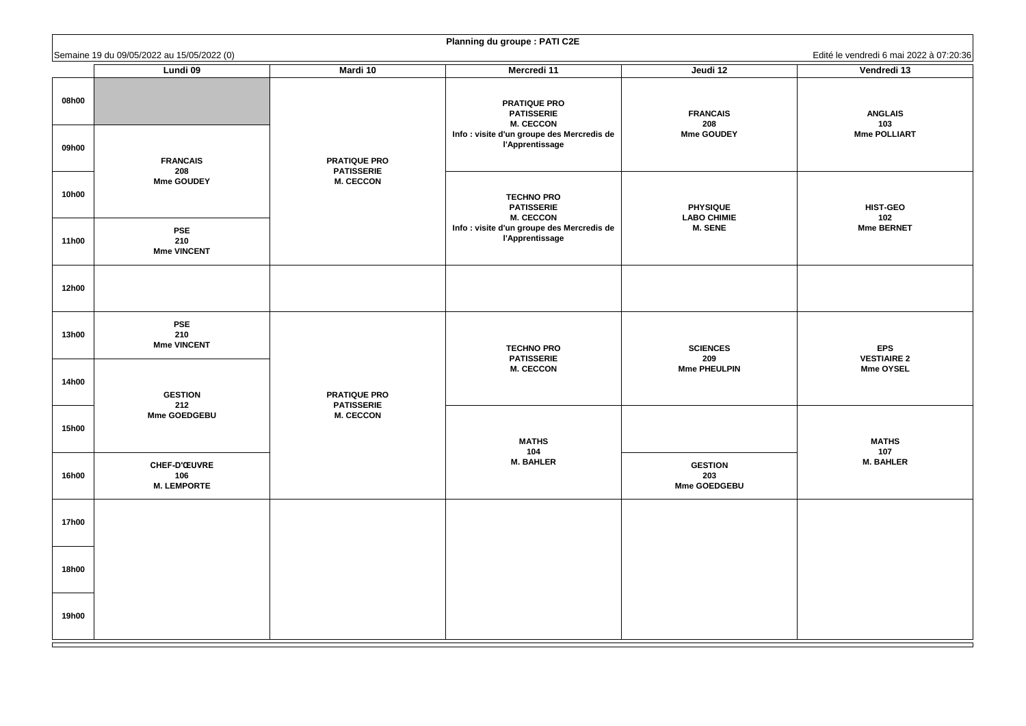**ANGLAIS 103 Mme POLLIART**

**HIST-GEO 102 Mme BERNET**

**EPS VESTIAIRE 2 Mme OYSEL**

|                | Semaine 19 du 09/05/2022 au 15/05/2022 (0)       |                                          |                                                                                                                                      |                                              | Edité le vendredi 6 mai 2                   |
|----------------|--------------------------------------------------|------------------------------------------|--------------------------------------------------------------------------------------------------------------------------------------|----------------------------------------------|---------------------------------------------|
|                | Lundi 09                                         | <b>Mardi 10</b>                          | <b>Mercredi 11</b>                                                                                                                   | Jeudi 12                                     | Vendredi 13                                 |
| 08h00<br>09h00 | <b>FRANCAIS</b>                                  | <b>PRATIQUE PRO</b>                      | <b>PRATIQUE PRO</b><br><b>PATISSERIE</b><br><b>M. CECCON</b><br>Info : visite d'un groupe des Mercredis de<br><b>l'Apprentissage</b> | <b>FRANCAIS</b><br>208<br><b>Mme GOUDEY</b>  | <b>ANGLAIS</b><br>103<br><b>Mme POLLIAR</b> |
| <b>10h00</b>   | 208<br><b>Mme GOUDEY</b>                         | <b>PATISSERIE</b><br><b>M. CECCON</b>    | <b>TECHNO PRO</b><br><b>PATISSERIE</b><br><b>M. CECCON</b>                                                                           | <b>PHYSIQUE</b><br><b>LABO CHIMIE</b>        | <b>HIST-GEO</b><br>102                      |
| <b>11h00</b>   | <b>PSE</b><br>210<br><b>Mme VINCENT</b>          |                                          | Info : visite d'un groupe des Mercredis de<br><b>l'Apprentissage</b>                                                                 | <b>M. SENE</b>                               | Mme BERNET                                  |
| <b>12h00</b>   |                                                  |                                          |                                                                                                                                      |                                              |                                             |
| <b>13h00</b>   | <b>PSE</b><br>210<br><b>Mme VINCENT</b>          |                                          | <b>TECHNO PRO</b><br><b>PATISSERIE</b>                                                                                               | <b>SCIENCES</b><br>209                       | <b>EPS</b><br><b>VESTIAIRE 2</b>            |
| <b>14h00</b>   | <b>GESTION</b><br>212                            | <b>PRATIQUE PRO</b><br><b>PATISSERIE</b> | <b>M. CECCON</b>                                                                                                                     | <b>Mme PHEULPIN</b>                          | <b>Mme OYSEL</b>                            |
| <b>15h00</b>   | <b>Mme GOEDGEBU</b>                              | <b>M. CECCON</b>                         | <b>MATHS</b><br>104                                                                                                                  |                                              | <b>MATHS</b><br>107                         |
| <b>16h00</b>   | <b>CHEF-D'ŒUVRE</b><br>106<br><b>M. LEMPORTE</b> |                                          | <b>M. BAHLER</b>                                                                                                                     | <b>GESTION</b><br>203<br><b>Mme GOEDGEBU</b> | <b>M. BAHLER</b>                            |
| <b>17h00</b>   |                                                  |                                          |                                                                                                                                      |                                              |                                             |
| <b>18h00</b>   |                                                  |                                          |                                                                                                                                      |                                              |                                             |
| <b>19h00</b>   |                                                  |                                          |                                                                                                                                      |                                              |                                             |

# **Planning du groupe : PATI C2E**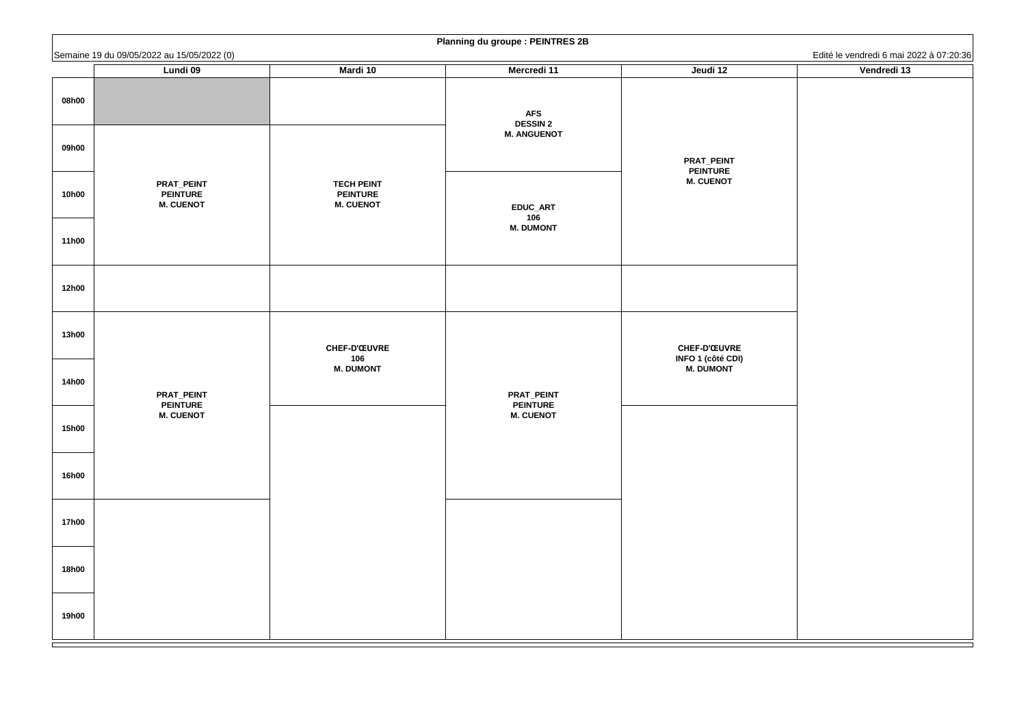|              | Semaine 19 du 09/05/2022 au 15/05/2022 (0)               |                                                          | <b>Flaming au groups. FLINTNLS ZD</b>               |                                                 | Edité le vendredi 6 mai 2022 à 07:20:36 |
|--------------|----------------------------------------------------------|----------------------------------------------------------|-----------------------------------------------------|-------------------------------------------------|-----------------------------------------|
|              | Lundi 09                                                 | <b>Mardi 10</b>                                          | <b>Mercredi 11</b>                                  | Jeudi 12                                        | Vendredi 13                             |
| 08h00        |                                                          |                                                          | <b>AFS</b><br><b>DESSIN 2</b><br><b>M. ANGUENOT</b> |                                                 |                                         |
| 09h00        |                                                          |                                                          |                                                     | <b>PRAT_PEINT</b><br><b>PEINTURE</b>            |                                         |
| <b>10h00</b> | <b>PRAT_PEINT</b><br><b>PEINTURE</b><br><b>M. CUENOT</b> | <b>TECH PEINT</b><br><b>PEINTURE</b><br><b>M. CUENOT</b> | <b>EDUC_ART</b><br>106                              | <b>M. CUENOT</b>                                |                                         |
| <b>11h00</b> |                                                          |                                                          | <b>M. DUMONT</b>                                    |                                                 |                                         |
| <b>12h00</b> |                                                          |                                                          |                                                     |                                                 |                                         |
| <b>13h00</b> |                                                          | <b>CHEF-D'ŒUVRE</b><br>106                               |                                                     | <b>CHEF-D'ŒUVRE</b><br><b>INFO 1 (côté CDI)</b> |                                         |
| <b>14h00</b> | <b>PRAT_PEINT</b><br><b>PEINTURE</b>                     | <b>M. DUMONT</b>                                         | <b>PRAT_PEINT</b><br><b>PEINTURE</b>                | <b>M. DUMONT</b>                                |                                         |
| <b>15h00</b> | <b>M. CUENOT</b>                                         |                                                          | <b>M. CUENOT</b>                                    |                                                 |                                         |
| <b>16h00</b> |                                                          |                                                          |                                                     |                                                 |                                         |
| <b>17h00</b> |                                                          |                                                          |                                                     |                                                 |                                         |
| <b>18h00</b> |                                                          |                                                          |                                                     |                                                 |                                         |
| <b>19h00</b> |                                                          |                                                          |                                                     |                                                 |                                         |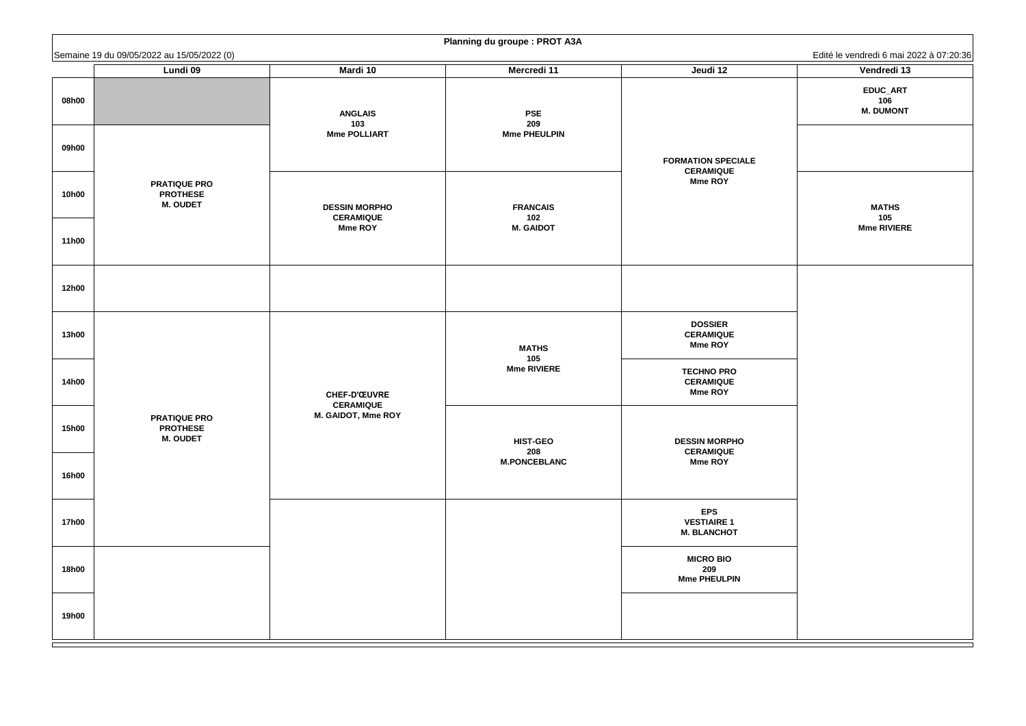**MATHS 105 Mme RIVIERE**

|              | Semaine 19 du 09/05/2022 au 15/05/2022 (0)                |                                         | <b>Hammy uu groupe</b> . Thor Ash |                                                         | Edité le vendredi 6 mai 2           |
|--------------|-----------------------------------------------------------|-----------------------------------------|-----------------------------------|---------------------------------------------------------|-------------------------------------|
|              | <b>Lundi 09</b>                                           | <b>Mardi 10</b>                         | <b>Mercredi 11</b>                | Jeudi 12                                                | Vendredi 13                         |
| 08h00        |                                                           | <b>ANGLAIS</b><br>103                   | <b>PSE</b><br>209                 |                                                         | EDUC_ART<br>106<br><b>M. DUMONT</b> |
| 09h00        |                                                           | <b>Mme POLLIART</b>                     | <b>Mme PHEULPIN</b>               | <b>FORMATION SPECIALE</b><br><b>CERAMIQUE</b>           |                                     |
| <b>10h00</b> | <b>PRATIQUE PRO</b><br><b>PROTHESE</b><br><b>M. OUDET</b> | <b>DESSIN MORPHO</b>                    | <b>FRANCAIS</b>                   | <b>Mme ROY</b>                                          | <b>MATHS</b>                        |
| <b>11h00</b> |                                                           | <b>CERAMIQUE</b><br><b>Mme ROY</b>      | 102<br><b>M. GAIDOT</b>           |                                                         | 105<br><b>Mme RIVIERE</b>           |
| <b>12h00</b> |                                                           |                                         |                                   |                                                         |                                     |
| <b>13h00</b> |                                                           |                                         | <b>MATHS</b><br>105               | <b>DOSSIER</b><br><b>CERAMIQUE</b><br><b>Mme ROY</b>    |                                     |
| <b>14h00</b> |                                                           | <b>CHEF-D'ŒUVRE</b><br><b>CERAMIQUE</b> | <b>Mme RIVIERE</b>                | <b>TECHNO PRO</b><br><b>CERAMIQUE</b><br><b>Mme ROY</b> |                                     |
| <b>15h00</b> | <b>PRATIQUE PRO</b><br><b>PROTHESE</b><br><b>M. OUDET</b> | M. GAIDOT, Mme ROY                      | <b>HIST-GEO</b><br>208            | <b>DESSIN MORPHO</b>                                    |                                     |
| <b>16h00</b> |                                                           |                                         | <b>M.PONCEBLANC</b>               | <b>CERAMIQUE</b><br><b>Mme ROY</b>                      |                                     |
| <b>17h00</b> |                                                           |                                         |                                   | <b>EPS</b><br><b>VESTIAIRE 1</b><br><b>M. BLANCHOT</b>  |                                     |
| <b>18h00</b> |                                                           |                                         |                                   | <b>MICRO BIO</b><br>209<br><b>Mme PHEULPIN</b>          |                                     |
| <b>19h00</b> |                                                           |                                         |                                   |                                                         |                                     |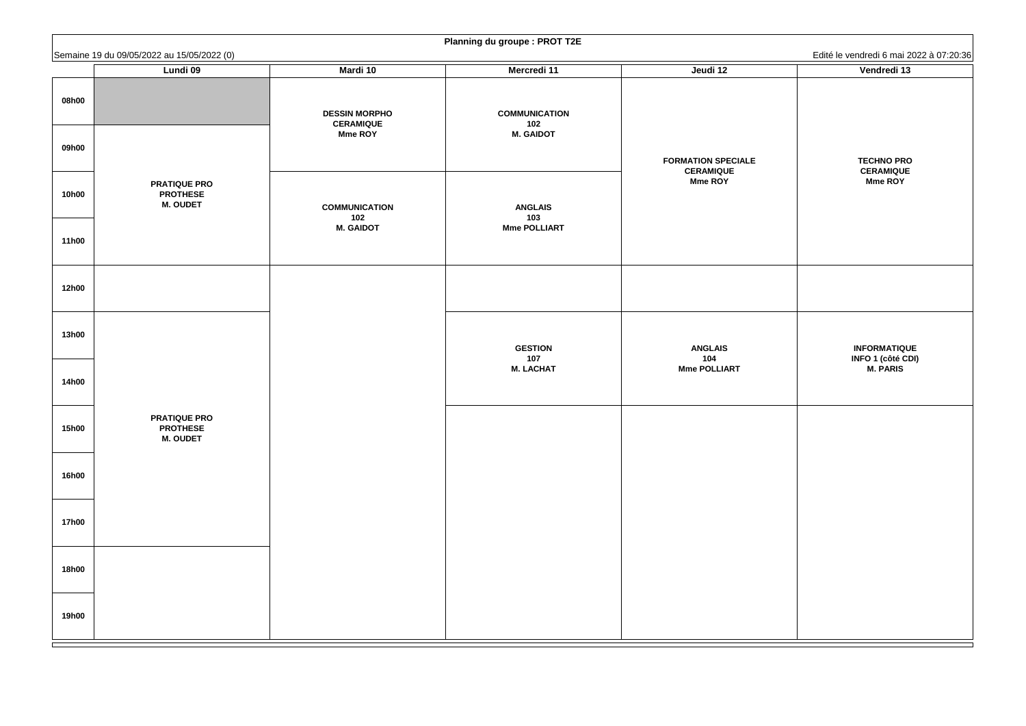**TECHNO PRO CERAMIQUE Mme ROY**

#### **INFORMATIQUE INFO 1 (côté CDI) M. PARIS**

|              | Semaine 19 du 09/05/2022 au 15/05/2022 (0)                |                                          | <b>Training ad groups . Thor TzL</b> |                                               | Edité le vendredi 6 mai 2                    |
|--------------|-----------------------------------------------------------|------------------------------------------|--------------------------------------|-----------------------------------------------|----------------------------------------------|
|              | <b>Lundi 09</b>                                           | <b>Mardi 10</b>                          | <b>Mercredi 11</b>                   | Jeudi 12                                      | Vendredi 13                                  |
| 08h00        |                                                           | <b>DESSIN MORPHO</b><br><b>CERAMIQUE</b> | <b>COMMUNICATION</b><br>102          |                                               |                                              |
| 09h00        |                                                           | <b>Mme ROY</b>                           | <b>M. GAIDOT</b>                     | <b>FORMATION SPECIALE</b><br><b>CERAMIQUE</b> | <b>TECHNO PRO</b><br><b>CERAMIQUE</b>        |
| <b>10h00</b> | <b>PRATIQUE PRO</b><br><b>PROTHESE</b><br><b>M. OUDET</b> | <b>COMMUNICATION</b><br>102              | <b>ANGLAIS</b><br>103                | <b>Mme ROY</b>                                | <b>Mme ROY</b>                               |
| <b>11h00</b> |                                                           | <b>M. GAIDOT</b>                         | <b>Mme POLLIART</b>                  |                                               |                                              |
| <b>12h00</b> |                                                           |                                          |                                      |                                               |                                              |
| <b>13h00</b> |                                                           |                                          | <b>GESTION</b><br>107                | <b>ANGLAIS</b><br>104                         | <b>INFORMATIQU</b><br><b>INFO 1 (côté CI</b> |
| <b>14h00</b> |                                                           |                                          | <b>M. LACHAT</b>                     | <b>Mme POLLIART</b>                           | <b>M. PARIS</b>                              |
| <b>15h00</b> | <b>PRATIQUE PRO</b><br><b>PROTHESE</b><br><b>M. OUDET</b> |                                          |                                      |                                               |                                              |
| <b>16h00</b> |                                                           |                                          |                                      |                                               |                                              |
| <b>17h00</b> |                                                           |                                          |                                      |                                               |                                              |
| <b>18h00</b> |                                                           |                                          |                                      |                                               |                                              |
| <b>19h00</b> |                                                           |                                          |                                      |                                               |                                              |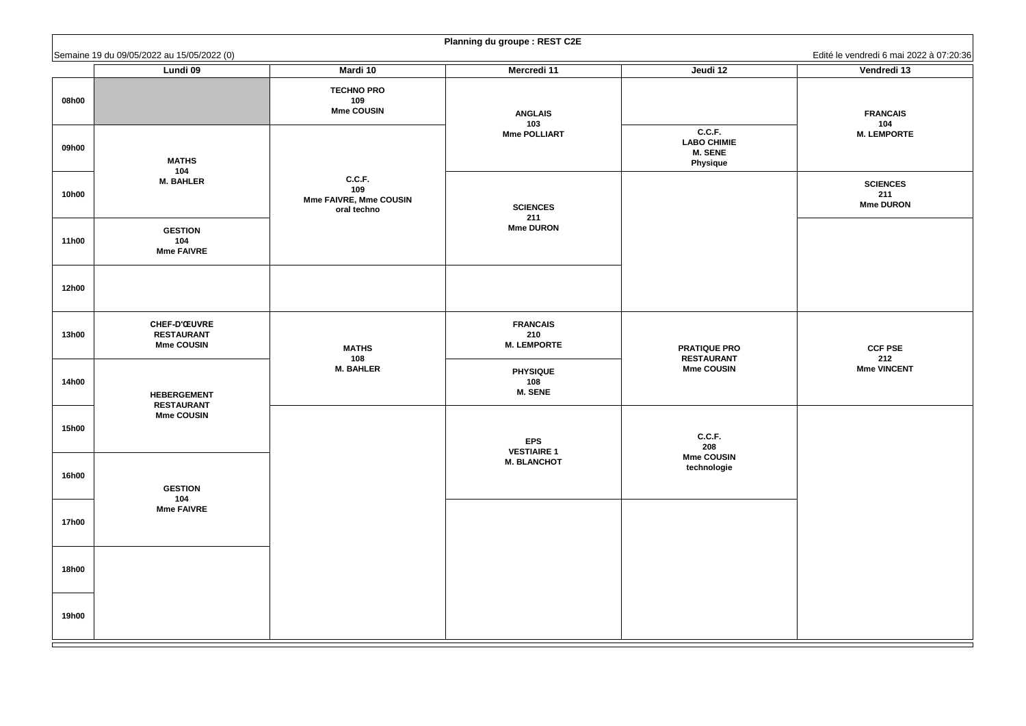**FRANCAIS 104 M. LEMPORTE**

**SCIENCES 211 Mme DURON**

**CCF PSE 212 Mme VINCENT**

|              | Semaine 19 du 09/05/2022 au 15/05/2022 (0)                    |                                                               |                                              |                                                         | Edité le vendredi 6 mai 2                   |
|--------------|---------------------------------------------------------------|---------------------------------------------------------------|----------------------------------------------|---------------------------------------------------------|---------------------------------------------|
| 08h00        | Lundi 09                                                      | Mardi 10<br><b>TECHNO PRO</b><br>109                          | <b>Mercredi 11</b>                           | Jeudi 12                                                | Vendredi 13                                 |
|              |                                                               | <b>Mme COUSIN</b>                                             | <b>ANGLAIS</b><br>103<br><b>Mme POLLIART</b> | C.C.F.                                                  | <b>FRANCAIS</b><br>104<br><b>M. LEMPORT</b> |
| 09h00        | <b>MATHS</b><br>104                                           |                                                               |                                              | <b>LABO CHIMIE</b><br><b>M. SENE</b><br><b>Physique</b> |                                             |
| <b>10h00</b> | <b>M. BAHLER</b>                                              | C.C.F.<br>109<br><b>Mme FAIVRE, Mme COUSIN</b><br>oral techno | <b>SCIENCES</b><br>211                       |                                                         | <b>SCIENCES</b><br>211<br><b>Mme DURON</b>  |
| <b>11h00</b> | <b>GESTION</b><br>104<br><b>Mme FAIVRE</b>                    |                                                               | <b>Mme DURON</b>                             |                                                         |                                             |
| <b>12h00</b> |                                                               |                                                               |                                              |                                                         |                                             |
| <b>13h00</b> | <b>CHEF-D'ŒUVRE</b><br><b>RESTAURANT</b><br><b>Mme COUSIN</b> | <b>MATHS</b><br>108                                           | <b>FRANCAIS</b><br>210<br><b>M. LEMPORTE</b> | <b>PRATIQUE PRO</b><br><b>RESTAURANT</b>                | <b>CCF PSE</b><br>212                       |
| <b>14h00</b> | <b>HEBERGEMENT</b><br><b>RESTAURANT</b>                       | <b>M. BAHLER</b>                                              | <b>PHYSIQUE</b><br>108<br><b>M. SENE</b>     | <b>Mme COUSIN</b>                                       | <b>Mme VINCEN</b>                           |
| <b>15h00</b> | <b>Mme COUSIN</b>                                             |                                                               | <b>EPS</b><br><b>VESTIAIRE 1</b>             | C.C.F.<br>208                                           |                                             |
| <b>16h00</b> | <b>GESTION</b><br>104                                         |                                                               | <b>M. BLANCHOT</b>                           | <b>Mme COUSIN</b><br>technologie                        |                                             |
| <b>17h00</b> | <b>Mme FAIVRE</b>                                             |                                                               |                                              |                                                         |                                             |
| <b>18h00</b> |                                                               |                                                               |                                              |                                                         |                                             |
| <b>19h00</b> |                                                               |                                                               |                                              |                                                         |                                             |

|  | <b>Planning du groupe : REST C2E</b> |  |
|--|--------------------------------------|--|
|--|--------------------------------------|--|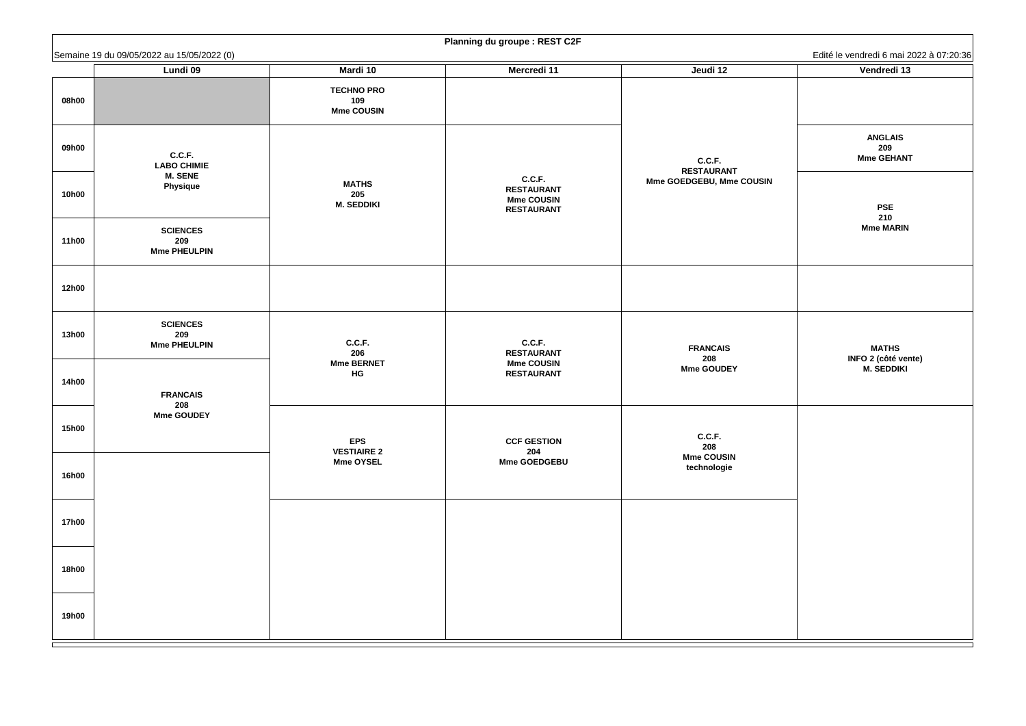#### **MATHS INFO 2 (côté vente) M. SEDDIKI**

|                              | Semaine 19 du 09/05/2022 au 15/05/2022 (0)                        |                                                                  |                                                                       |                                                         | Edité le vendredi 6 mai 2022 à 07:20:36                         |
|------------------------------|-------------------------------------------------------------------|------------------------------------------------------------------|-----------------------------------------------------------------------|---------------------------------------------------------|-----------------------------------------------------------------|
| 08h00                        | <b>Lundi 09</b>                                                   | <b>Mardi 10</b><br><b>TECHNO PRO</b><br>109<br><b>Mme COUSIN</b> | <b>Mercredi 11</b>                                                    | Jeudi 12                                                | Vendredi 13                                                     |
| 09h00<br><b>10h00</b>        | C.C.F.<br><b>LABO CHIMIE</b><br><b>M. SENE</b><br><b>Physique</b> | <b>MATHS</b><br>205<br><b>M. SEDDIKI</b>                         | C.C.F.<br><b>RESTAURANT</b><br><b>Mme COUSIN</b><br><b>RESTAURANT</b> | C.C.F.<br><b>RESTAURANT</b><br>Mme GOEDGEBU, Mme COUSIN | <b>ANGLAIS</b><br>209<br><b>Mme GEHANT</b><br><b>PSE</b><br>210 |
| <b>11h00</b>                 | <b>SCIENCES</b><br>209<br><b>Mme PHEULPIN</b>                     |                                                                  |                                                                       |                                                         | <b>Mme MARIN</b>                                                |
| <b>12h00</b>                 |                                                                   |                                                                  |                                                                       |                                                         |                                                                 |
| <b>13h00</b><br><b>14h00</b> | <b>SCIENCES</b><br>209<br><b>Mme PHEULPIN</b><br><b>FRANCAIS</b>  | C.C.F.<br>206<br><b>Mme BERNET</b><br><b>HG</b>                  | C.C.F.<br><b>RESTAURANT</b><br><b>Mme COUSIN</b><br><b>RESTAURANT</b> | <b>FRANCAIS</b><br>208<br><b>Mme GOUDEY</b>             | <b>MATHS</b><br><b>INFO 2 (côté vente)</b><br><b>M. SEDDIKI</b> |
| <b>15h00</b>                 | 208<br><b>Mme GOUDEY</b>                                          | <b>EPS</b><br><b>VESTIAIRE 2</b>                                 | <b>CCF GESTION</b><br>204                                             | C.C.F.<br>208                                           |                                                                 |
| <b>16h00</b>                 |                                                                   | <b>Mme OYSEL</b>                                                 | <b>Mme GOEDGEBU</b>                                                   | <b>Mme COUSIN</b><br>technologie                        |                                                                 |
| <b>17h00</b>                 |                                                                   |                                                                  |                                                                       |                                                         |                                                                 |
| <b>18h00</b>                 |                                                                   |                                                                  |                                                                       |                                                         |                                                                 |
| <b>19h00</b>                 |                                                                   |                                                                  |                                                                       |                                                         |                                                                 |

|             | Edité le vendredi 6 mai 2022 à 07:20:36 |  |  |  |  |
|-------------|-----------------------------------------|--|--|--|--|
| Vendredi 13 |                                         |  |  |  |  |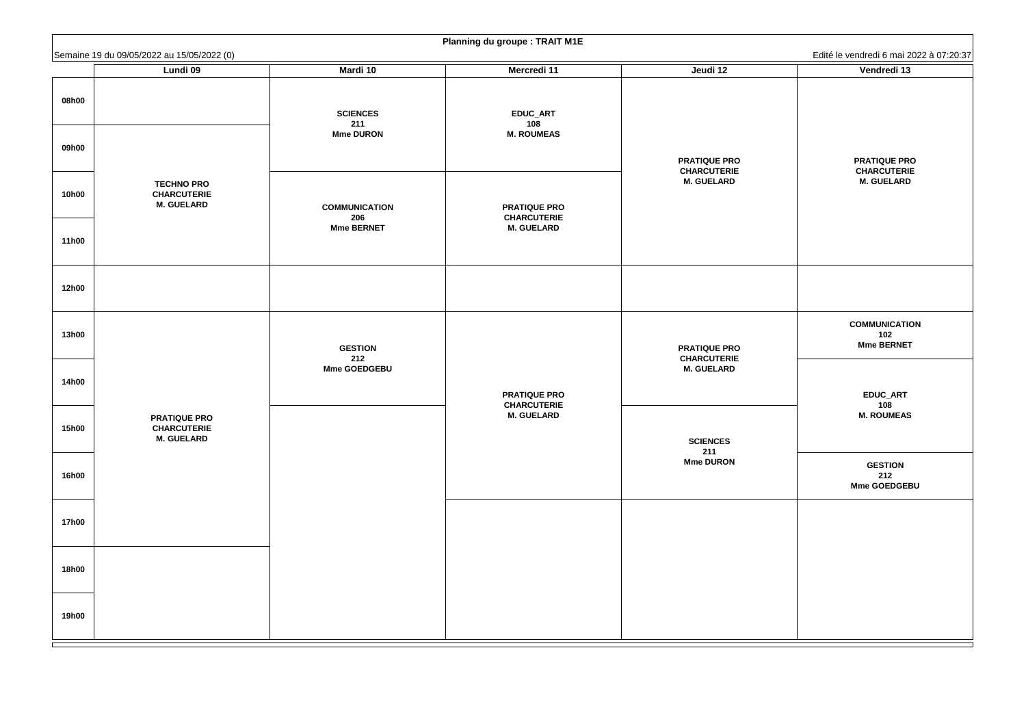**PRATIQUE PRO CHARCUTERIE M. GUELARD**

**COMMUNICATION 102 Mme BERNET**

**GESTION 212 Mme GOEDGEBU**

|              | Semaine 19 du 09/05/2022 au 15/05/2022 (0)                     |                             |                                           |                                           | Edité le vendredi 6 mai 2                   |
|--------------|----------------------------------------------------------------|-----------------------------|-------------------------------------------|-------------------------------------------|---------------------------------------------|
|              | <b>Lundi 09</b>                                                | <b>Mardi 10</b>             | <b>Mercredi 11</b>                        | Jeudi 12                                  | Vendredi 13                                 |
| 08h00        |                                                                | <b>SCIENCES</b><br>211      | <b>EDUC_ART</b><br>108                    |                                           |                                             |
| 09h00        |                                                                | <b>Mme DURON</b>            | <b>M. ROUMEAS</b>                         | <b>PRATIQUE PRO</b><br><b>CHARCUTERIE</b> | <b>PRATIQUE PR</b><br><b>CHARCUTERI</b>     |
| <b>10h00</b> | <b>TECHNO PRO</b><br><b>CHARCUTERIE</b><br><b>M. GUELARD</b>   | <b>COMMUNICATION</b><br>206 | <b>PRATIQUE PRO</b><br><b>CHARCUTERIE</b> | <b>M. GUELARD</b>                         | <b>M. GUELARD</b>                           |
| <b>11h00</b> |                                                                | <b>Mme BERNET</b>           | <b>M. GUELARD</b>                         |                                           |                                             |
| <b>12h00</b> |                                                                |                             |                                           |                                           |                                             |
| <b>13h00</b> |                                                                | <b>GESTION</b><br>212       |                                           | <b>PRATIQUE PRO</b><br><b>CHARCUTERIE</b> | <b>COMMUNICATI</b><br>102<br>Mme BERNET     |
| <b>14h00</b> |                                                                | <b>Mme GOEDGEBU</b>         | <b>PRATIQUE PRO</b><br><b>CHARCUTERIE</b> | <b>M. GUELARD</b>                         | EDUC_ART<br>108                             |
| <b>15h00</b> | <b>PRATIQUE PRO</b><br><b>CHARCUTERIE</b><br><b>M. GUELARD</b> |                             | <b>M. GUELARD</b>                         | <b>SCIENCES</b><br>211                    | <b>M. ROUMEAS</b>                           |
| <b>16h00</b> |                                                                |                             |                                           | <b>Mme DURON</b>                          | <b>GESTION</b><br>212<br><b>Mme GOEDGEI</b> |
| <b>17h00</b> |                                                                |                             |                                           |                                           |                                             |
| <b>18h00</b> |                                                                |                             |                                           |                                           |                                             |
| <b>19h00</b> |                                                                |                             |                                           |                                           |                                             |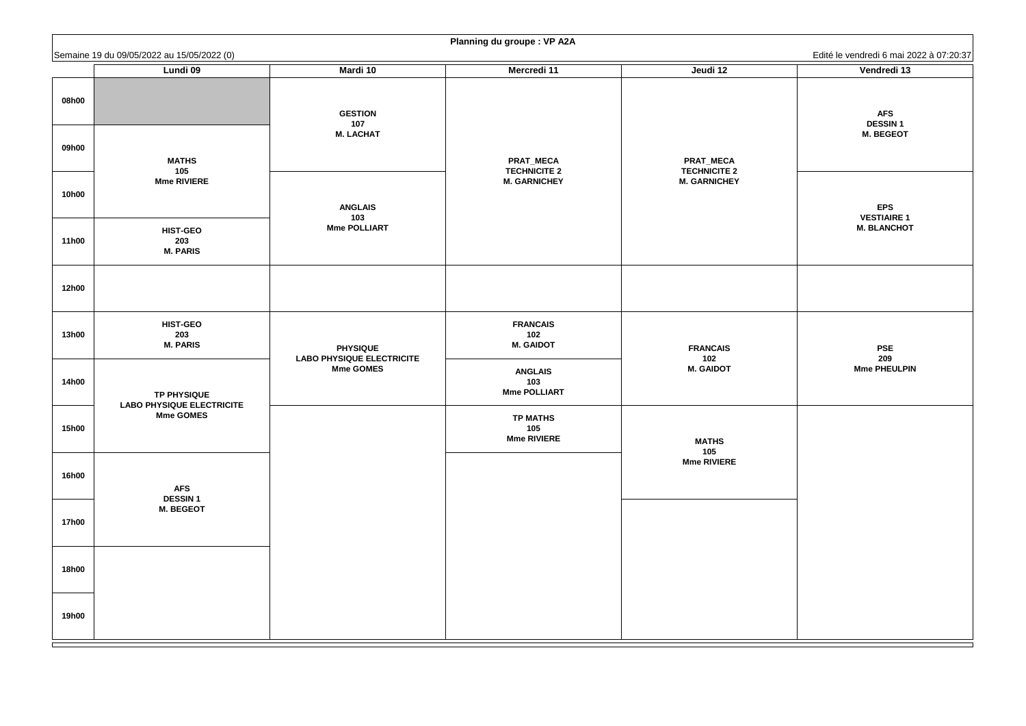Edité le vendredi 6 mai 2022 à 07:20:37 **AFS DESSIN 1 M. BEGEOT EPS VESTIAIRE 1 M. BLANCHOT PSE 209 Mme PHEULPIN**

|              | Semaine 19 du 09/05/2022 au 15/05/2022 (0)             |                                                     |                                                                |                                                                | Edité le vendredi 6 mai 2                             |
|--------------|--------------------------------------------------------|-----------------------------------------------------|----------------------------------------------------------------|----------------------------------------------------------------|-------------------------------------------------------|
|              | Lundi 09                                               | <b>Mardi 10</b>                                     | <b>Mercredi 11</b>                                             | Jeudi 12                                                       | Vendredi 13                                           |
| 08h00        |                                                        | <b>GESTION</b><br>107<br><b>M. LACHAT</b>           |                                                                |                                                                | <b>AFS</b><br><b>DESSIN1</b><br><b>M. BEGEOT</b>      |
| 09h00        | <b>MATHS</b><br>105<br><b>Mme RIVIERE</b>              |                                                     | <b>PRAT_MECA</b><br><b>TECHNICITE 2</b><br><b>M. GARNICHEY</b> | <b>PRAT_MECA</b><br><b>TECHNICITE 2</b><br><b>M. GARNICHEY</b> |                                                       |
| <b>10h00</b> |                                                        | <b>ANGLAIS</b><br>103<br><b>Mme POLLIART</b>        |                                                                |                                                                | <b>EPS</b><br><b>VESTIAIRE 1</b><br><b>M. BLANCHO</b> |
| <b>11h00</b> | <b>HIST-GEO</b><br>203<br><b>M. PARIS</b>              |                                                     |                                                                |                                                                |                                                       |
| <b>12h00</b> |                                                        |                                                     |                                                                |                                                                |                                                       |
| <b>13h00</b> | <b>HIST-GEO</b><br>203<br><b>M. PARIS</b>              | <b>PHYSIQUE</b><br><b>LABO PHYSIQUE ELECTRICITE</b> | <b>FRANCAIS</b><br>102<br><b>M. GAIDOT</b>                     | <b>FRANCAIS</b><br>102                                         | <b>PSE</b><br>209                                     |
| <b>14h00</b> | <b>TP PHYSIQUE</b><br><b>LABO PHYSIQUE ELECTRICITE</b> | <b>Mme GOMES</b>                                    | <b>ANGLAIS</b><br>103<br><b>Mme POLLIART</b>                   | <b>M. GAIDOT</b>                                               | <b>Mme PHEULPI</b>                                    |
| <b>15h00</b> | <b>Mme GOMES</b>                                       |                                                     | <b>TP MATHS</b><br>105<br><b>Mme RIVIERE</b>                   | <b>MATHS</b><br>105                                            |                                                       |
| <b>16h00</b> | <b>AFS</b><br><b>DESSIN1</b>                           |                                                     |                                                                | <b>Mme RIVIERE</b>                                             |                                                       |
| <b>17h00</b> | <b>M. BEGEOT</b>                                       |                                                     |                                                                |                                                                |                                                       |
| <b>18h00</b> |                                                        |                                                     |                                                                |                                                                |                                                       |
| <b>19h00</b> |                                                        |                                                     |                                                                |                                                                |                                                       |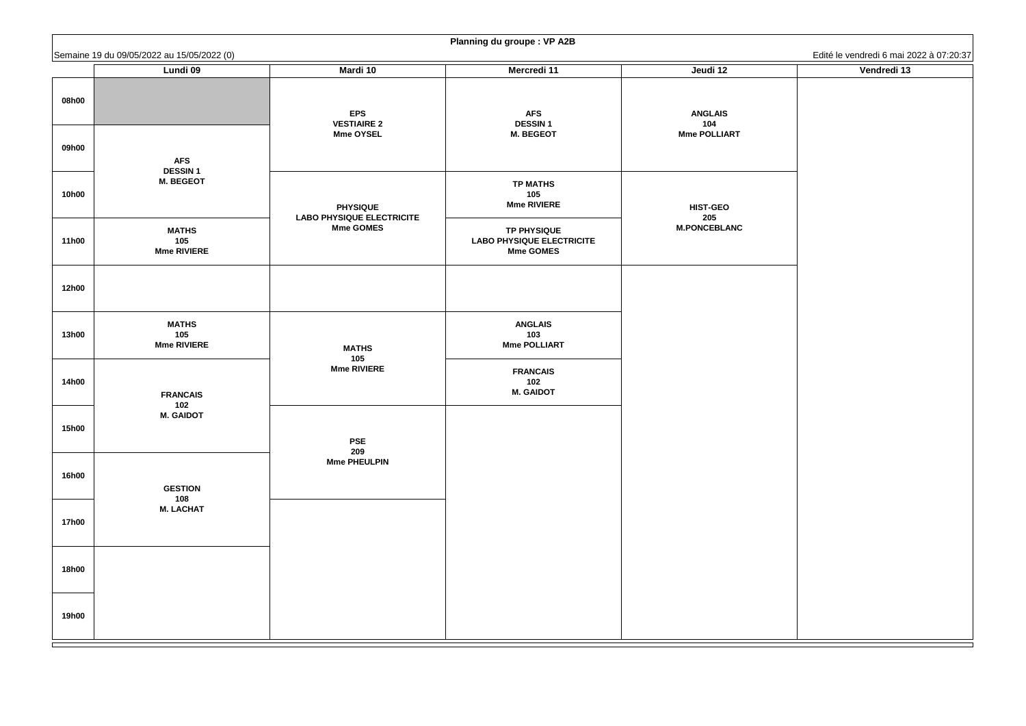| <b>Planning du groupe : VP A2B</b> |                                            |                                                     |                                                                            |                        |                                         |
|------------------------------------|--------------------------------------------|-----------------------------------------------------|----------------------------------------------------------------------------|------------------------|-----------------------------------------|
|                                    | Semaine 19 du 09/05/2022 au 15/05/2022 (0) |                                                     |                                                                            |                        | Edité le vendredi 6 mai 2022 à 07:20:37 |
|                                    | <b>Lundi 09</b>                            | <b>Mardi 10</b>                                     | <b>Mercredi 11</b>                                                         | Jeudi 12               | Vendredi 13                             |
| 08h00                              |                                            | <b>EPS</b><br><b>VESTIAIRE 2</b>                    | <b>AFS</b><br><b>DESSIN1</b>                                               | <b>ANGLAIS</b><br>104  |                                         |
| 09h00                              | <b>AFS</b><br><b>DESSIN1</b>               | <b>Mme OYSEL</b>                                    | <b>M. BEGEOT</b>                                                           | <b>Mme POLLIART</b>    |                                         |
| <b>10h00</b>                       | <b>M. BEGEOT</b>                           | <b>PHYSIQUE</b><br><b>LABO PHYSIQUE ELECTRICITE</b> | <b>TP MATHS</b><br>105<br><b>Mme RIVIERE</b>                               | <b>HIST-GEO</b><br>205 |                                         |
| <b>11h00</b>                       | <b>MATHS</b><br>105<br><b>Mme RIVIERE</b>  | <b>Mme GOMES</b>                                    | <b>TP PHYSIQUE</b><br><b>LABO PHYSIQUE ELECTRICITE</b><br><b>Mme GOMES</b> | <b>M.PONCEBLANC</b>    |                                         |
| <b>12h00</b>                       |                                            |                                                     |                                                                            |                        |                                         |
| <b>13h00</b>                       | <b>MATHS</b><br>105<br><b>Mme RIVIERE</b>  | <b>MATHS</b><br>105                                 | <b>ANGLAIS</b><br>103<br><b>Mme POLLIART</b>                               |                        |                                         |
| <b>14h00</b>                       | <b>FRANCAIS</b><br>102                     | <b>Mme RIVIERE</b>                                  | <b>FRANCAIS</b><br>102<br><b>M. GAIDOT</b>                                 |                        |                                         |
| <b>15h00</b>                       | <b>M. GAIDOT</b>                           | <b>PSE</b><br>209                                   |                                                                            |                        |                                         |
| <b>16h00</b>                       | <b>GESTION</b><br>108                      | <b>Mme PHEULPIN</b>                                 |                                                                            |                        |                                         |
| <b>17h00</b>                       | <b>M. LACHAT</b>                           |                                                     |                                                                            |                        |                                         |
| <b>18h00</b>                       |                                            |                                                     |                                                                            |                        |                                         |
| <b>19h00</b>                       |                                            |                                                     |                                                                            |                        |                                         |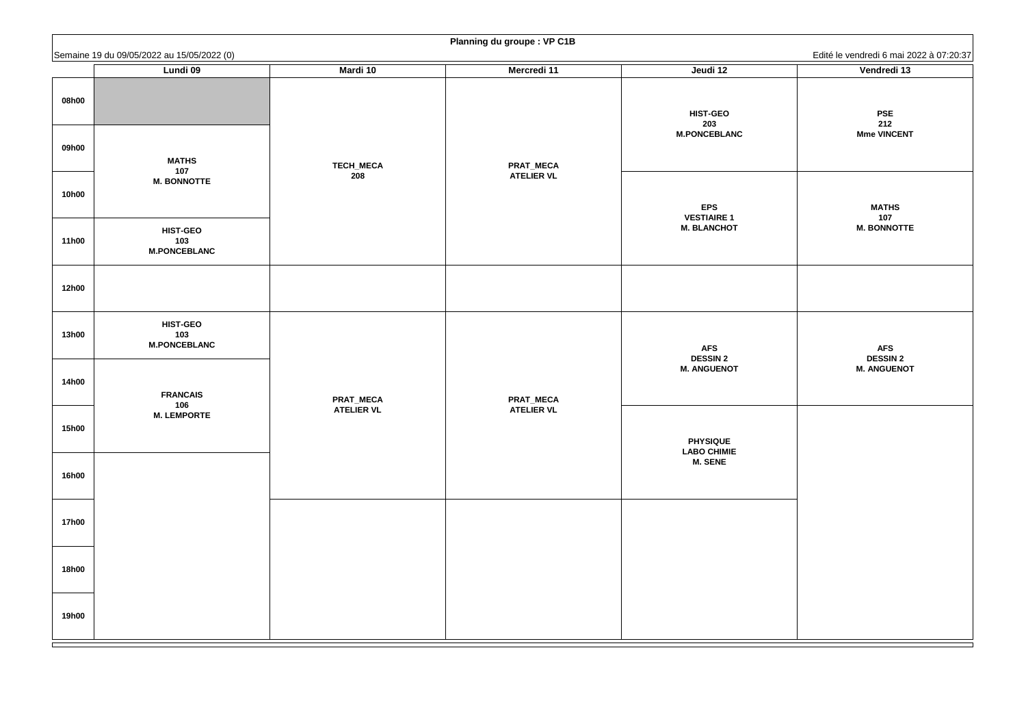**PSE 212 Mme VINCENT**

**MATHS 107 M. BONNOTTE**

**AFS DESSIN 2 M. ANGUENOT**

|              | Semaine 19 du 09/05/2022 au 15/05/2022 (0)    |                   |                    |                                               | Edité le vendredi 6 mai 2              |
|--------------|-----------------------------------------------|-------------------|--------------------|-----------------------------------------------|----------------------------------------|
|              | Lundi 09                                      | Mardi 10          | <b>Mercredi 11</b> | Jeudi 12                                      | Vendredi 13                            |
| 08h00        |                                               |                   |                    | <b>HIST-GEO</b><br>203<br><b>M.PONCEBLANC</b> | <b>PSE</b><br>212<br><b>Mme VINCEN</b> |
| 09h00        | <b>MATHS</b><br>107                           | <b>TECH_MECA</b>  | <b>PRAT_MECA</b>   |                                               |                                        |
| <b>10h00</b> | <b>M. BONNOTTE</b>                            | 208               | <b>ATELIER VL</b>  | <b>EPS</b>                                    | <b>MATHS</b>                           |
| <b>11h00</b> | <b>HIST-GEO</b><br>103<br><b>M.PONCEBLANC</b> |                   |                    | <b>VESTIAIRE 1</b><br><b>M. BLANCHOT</b>      | 107<br><b>M. BONNOTT</b>               |
| <b>12h00</b> |                                               |                   |                    |                                               |                                        |
| <b>13h00</b> | <b>HIST-GEO</b><br>103<br><b>M.PONCEBLANC</b> |                   |                    | <b>AFS</b><br><b>DESSIN 2</b>                 | <b>AFS</b><br><b>DESSIN 2</b>          |
| <b>14h00</b> | <b>FRANCAIS</b>                               | <b>PRAT_MECA</b>  | <b>PRAT_MECA</b>   | <b>M. ANGUENOT</b>                            | <b>M. ANGUENO</b>                      |
| <b>15h00</b> | 106<br><b>M. LEMPORTE</b>                     | <b>ATELIER VL</b> | <b>ATELIER VL</b>  | <b>PHYSIQUE</b><br><b>LABO CHIMIE</b>         |                                        |
| <b>16h00</b> |                                               |                   |                    | <b>M. SENE</b>                                |                                        |
| <b>17h00</b> |                                               |                   |                    |                                               |                                        |
| <b>18h00</b> |                                               |                   |                    |                                               |                                        |
| <b>19h00</b> |                                               |                   |                    |                                               |                                        |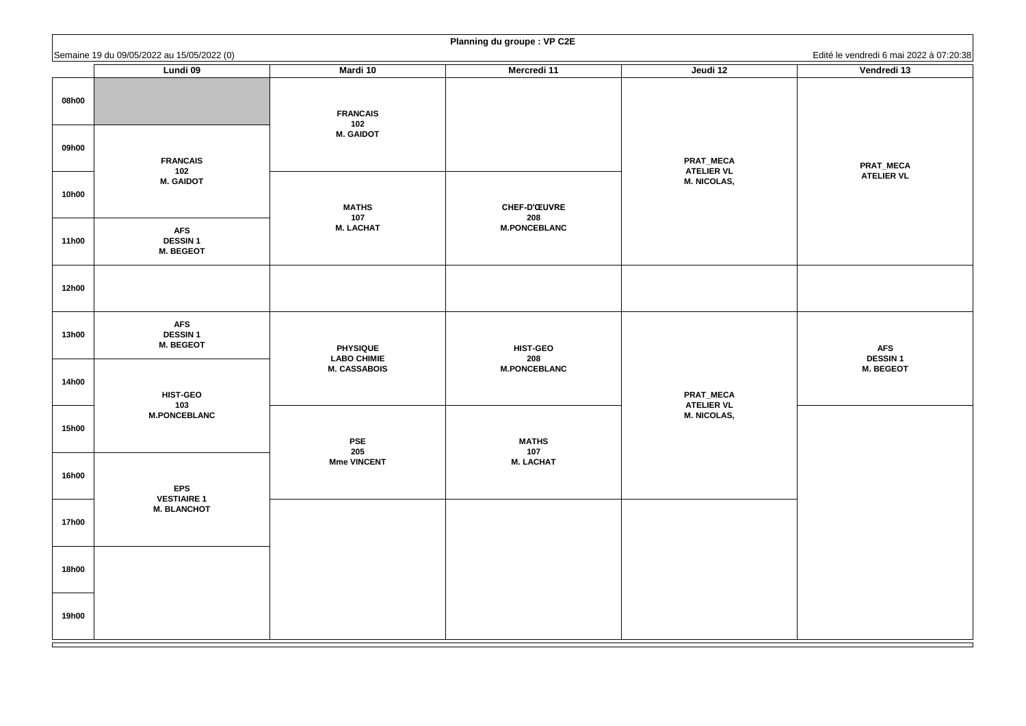#### **PRAT\_MECA ATELIER VL**

#### **AFS DESSIN 1 M. BEGEOT**

|              | Semaine 19 du 09/05/2022 au 15/05/2022 (0)                                                        |                                       | $\cup$ $\cup$ $\cup$       |                                                             | Edité le vendredi 6 mai 2022 à 07:20:38 |
|--------------|---------------------------------------------------------------------------------------------------|---------------------------------------|----------------------------|-------------------------------------------------------------|-----------------------------------------|
|              | <b>Lundi 09</b>                                                                                   | <b>Mardi 10</b>                       | <b>Mercredi 11</b>         | Jeudi 12                                                    | Vendredi 13                             |
| 08h00        | <b>FRANCAIS</b><br>102<br><b>M. GAIDOT</b><br><b>AFS</b><br><b>DESSIN1</b><br><b>M. BEGEOT</b>    | <b>FRANCAIS</b><br>102                |                            |                                                             |                                         |
| 09h00        |                                                                                                   | <b>M. GAIDOT</b>                      |                            | <b>PRAT_MECA</b><br><b>ATELIER VL</b>                       | <b>PRAT_MECA</b>                        |
| <b>10h00</b> |                                                                                                   | <b>MATHS</b>                          | <b>CHEF-D'ŒUVRE</b>        | <b>M. NICOLAS,</b>                                          | <b>ATELIER VL</b>                       |
| <b>11h00</b> |                                                                                                   | 107<br><b>M. LACHAT</b>               | 208<br><b>M.PONCEBLANC</b> |                                                             |                                         |
| <b>12h00</b> |                                                                                                   |                                       |                            |                                                             |                                         |
| <b>13h00</b> | <b>AFS</b><br><b>DESSIN1</b><br><b>M. BEGEOT</b><br><b>HIST-GEO</b><br>103<br><b>M.PONCEBLANC</b> | <b>PHYSIQUE</b><br><b>LABO CHIMIE</b> | <b>HIST-GEO</b><br>208     | <b>PRAT_MECA</b><br><b>ATELIER VL</b><br><b>M. NICOLAS,</b> | <b>AFS</b><br><b>DESSIN1</b>            |
| <b>14h00</b> |                                                                                                   | <b>M. CASSABOIS</b>                   | <b>M.PONCEBLANC</b>        |                                                             | <b>M. BEGEOT</b>                        |
| <b>15h00</b> |                                                                                                   | <b>PSE</b><br>205                     | <b>MATHS</b><br>107        |                                                             |                                         |
| <b>16h00</b> | <b>EPS</b>                                                                                        | <b>Mme VINCENT</b>                    | <b>M. LACHAT</b>           |                                                             |                                         |
| <b>17h00</b> | <b>VESTIAIRE 1</b><br><b>M. BLANCHOT</b>                                                          |                                       |                            |                                                             |                                         |
| <b>18h00</b> |                                                                                                   |                                       |                            |                                                             |                                         |
| <b>19h00</b> |                                                                                                   |                                       |                            |                                                             |                                         |

| Edité le vendredi 6 mai 2022 à 07:20:38 |  |  |  |  |  |
|-----------------------------------------|--|--|--|--|--|
| Vendredi 13                             |  |  |  |  |  |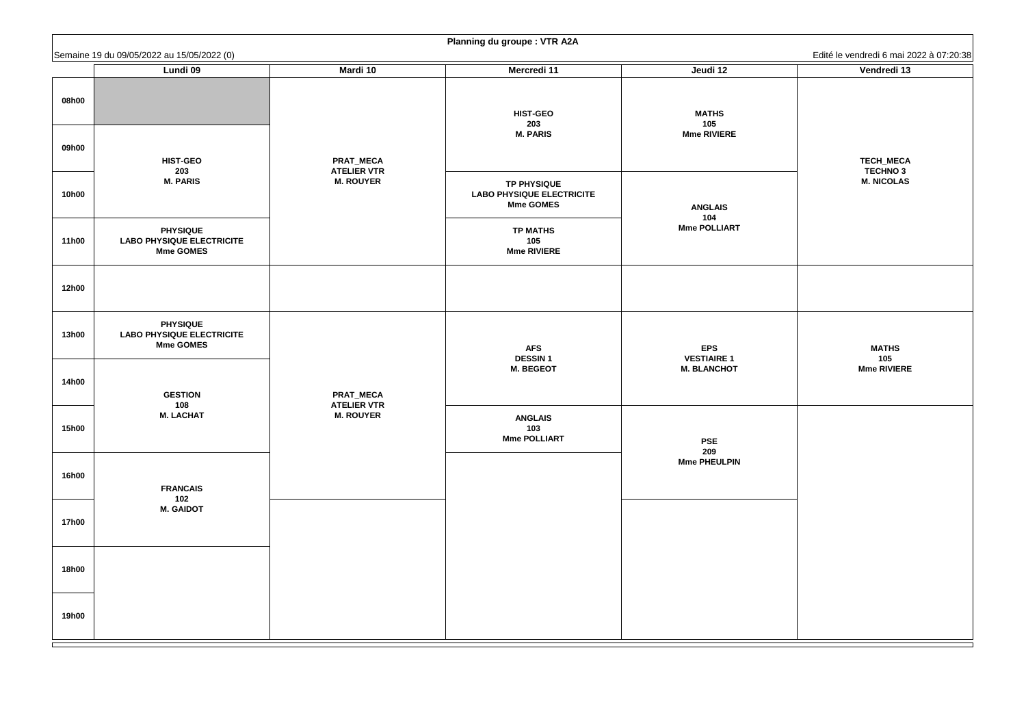**TECH\_MECA TECHNO 3 M. NICOLAS**

**MATHS 105 Mme RIVIERE**

|              | Semaine 19 du 09/05/2022 au 15/05/2022 (0)                              |                                        | $\overline{\phantom{a}}$                                                   |                                                        | Edité le vendredi 6 mai 2                 |
|--------------|-------------------------------------------------------------------------|----------------------------------------|----------------------------------------------------------------------------|--------------------------------------------------------|-------------------------------------------|
|              | <b>Lundi 09</b>                                                         | <b>Mardi 10</b>                        | <b>Mercredi 11</b>                                                         | Jeudi 12                                               | Vendredi 13                               |
| 08h00        |                                                                         |                                        | <b>HIST-GEO</b><br>203                                                     | <b>MATHS</b><br>105                                    |                                           |
| 09h00        | <b>HIST-GEO</b><br>203                                                  | PRAT_MECA<br><b>ATELIER VTR</b>        | <b>M. PARIS</b>                                                            | <b>Mme RIVIERE</b>                                     | TECH_MECA<br><b>TECHNO 3</b>              |
| <b>10h00</b> | <b>M. PARIS</b>                                                         | <b>M. ROUYER</b>                       | <b>TP PHYSIQUE</b><br><b>LABO PHYSIQUE ELECTRICITE</b><br><b>Mme GOMES</b> | <b>ANGLAIS</b><br>104                                  | <b>M. NICOLAS</b>                         |
| <b>11h00</b> | <b>PHYSIQUE</b><br><b>LABO PHYSIQUE ELECTRICITE</b><br><b>Mme GOMES</b> |                                        | <b>TP MATHS</b><br>105<br><b>Mme RIVIERE</b>                               | <b>Mme POLLIART</b>                                    |                                           |
| <b>12h00</b> |                                                                         |                                        |                                                                            |                                                        |                                           |
| <b>13h00</b> | <b>PHYSIQUE</b><br><b>LABO PHYSIQUE ELECTRICITE</b><br><b>Mme GOMES</b> |                                        | <b>AFS</b><br><b>DESSIN1</b><br><b>M. BEGEOT</b>                           | <b>EPS</b><br><b>VESTIAIRE 1</b><br><b>M. BLANCHOT</b> | <b>MATHS</b><br>105<br><b>Mme RIVIERE</b> |
| <b>14h00</b> | <b>GESTION</b><br>108                                                   | <b>PRAT_MECA</b><br><b>ATELIER VTR</b> |                                                                            |                                                        |                                           |
| <b>15h00</b> | <b>M. LACHAT</b>                                                        | <b>M. ROUYER</b>                       | <b>ANGLAIS</b><br>103<br><b>Mme POLLIART</b>                               | <b>PSE</b><br>209                                      |                                           |
| <b>16h00</b> | <b>FRANCAIS</b><br>102<br><b>M. GAIDOT</b>                              |                                        |                                                                            | <b>Mme PHEULPIN</b>                                    |                                           |
| <b>17h00</b> |                                                                         |                                        |                                                                            |                                                        |                                           |
| <b>18h00</b> |                                                                         |                                        |                                                                            |                                                        |                                           |
| <b>19h00</b> |                                                                         |                                        |                                                                            |                                                        |                                           |